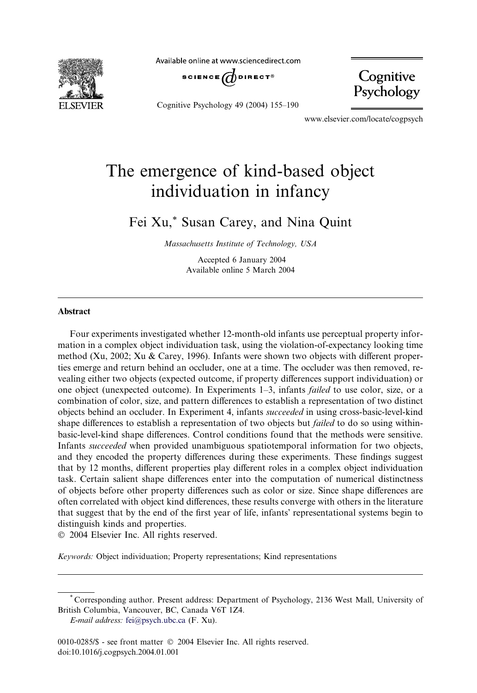

Available online at www.sciencedirect.com



Cognitive Psychology 49 (2004) 155–190

**Cognitive** Psychology

www.elsevier.com/locate/cogpsych

# The emergence of kind-based object individuation in infancy

Fei Xu,\* Susan Carey, and Nina Quint

Massachusetts Institute of Technology, USA

Accepted 6 January 2004 Available online 5 March 2004

#### Abstract

Four experiments investigated whether 12-month-old infants use perceptual property information in a complex object individuation task, using the violation-of-expectancy looking time method (Xu, 2002; Xu & Carey, 1996). Infants were shown two objects with different properties emerge and return behind an occluder, one at a time. The occluder was then removed, revealing either two objects (expected outcome, if property differences support individuation) or one object (unexpected outcome). In Experiments 1–3, infants failed to use color, size, or a combination of color, size, and pattern differences to establish a representation of two distinct objects behind an occluder. In Experiment 4, infants succeeded in using cross-basic-level-kind shape differences to establish a representation of two objects but *failed* to do so using withinbasic-level-kind shape differences. Control conditions found that the methods were sensitive. Infants succeeded when provided unambiguous spatiotemporal information for two objects, and they encoded the property differences during these experiments. These findings suggest that by 12 months, different properties play different roles in a complex object individuation task. Certain salient shape differences enter into the computation of numerical distinctness of objects before other property differences such as color or size. Since shape differences are often correlated with object kind differences, these results converge with others in the literature that suggest that by the end of the first year of life, infants representational systems begin to distinguish kinds and properties.

2004 Elsevier Inc. All rights reserved.

Keywords: Object individuation; Property representations; Kind representations

<sup>\*</sup> Corresponding author. Present address: Department of Psychology, 2136 West Mall, University of British Columbia, Vancouver, BC, Canada V6T 1Z4.

E-mail address: [fei@psych.ubc.ca](mail to: fei@psych.ubc.ca) (F. Xu).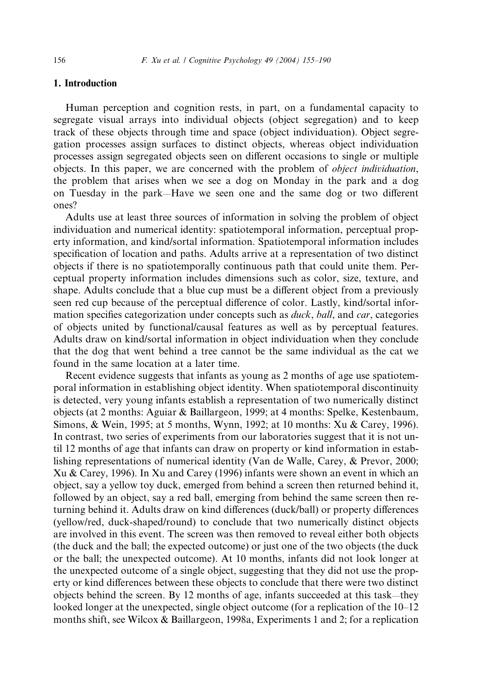# 1. Introduction

Human perception and cognition rests, in part, on a fundamental capacity to segregate visual arrays into individual objects (object segregation) and to keep track of these objects through time and space (object individuation). Object segregation processes assign surfaces to distinct objects, whereas object individuation processes assign segregated objects seen on different occasions to single or multiple objects. In this paper, we are concerned with the problem of object individuation, the problem that arises when we see a dog on Monday in the park and a dog on Tuesday in the park—Have we seen one and the same dog or two different ones?

Adults use at least three sources of information in solving the problem of object individuation and numerical identity: spatiotemporal information, perceptual property information, and kind/sortal information. Spatiotemporal information includes specification of location and paths. Adults arrive at a representation of two distinct objects if there is no spatiotemporally continuous path that could unite them. Perceptual property information includes dimensions such as color, size, texture, and shape. Adults conclude that a blue cup must be a different object from a previously seen red cup because of the perceptual difference of color. Lastly, kind/sortal information specifies categorization under concepts such as *duck*, *ball*, and *car*, categories of objects united by functional/causal features as well as by perceptual features. Adults draw on kind/sortal information in object individuation when they conclude that the dog that went behind a tree cannot be the same individual as the cat we found in the same location at a later time.

Recent evidence suggests that infants as young as 2 months of age use spatiotemporal information in establishing object identity. When spatiotemporal discontinuity is detected, very young infants establish a representation of two numerically distinct objects (at 2 months: Aguiar & Baillargeon, 1999; at 4 months: Spelke, Kestenbaum, Simons, & Wein, 1995; at 5 months, Wynn, 1992; at 10 months: Xu & Carey, 1996). In contrast, two series of experiments from our laboratories suggest that it is not until 12 months of age that infants can draw on property or kind information in establishing representations of numerical identity (Van de Walle, Carey, & Prevor, 2000; Xu & Carey, 1996). In Xu and Carey (1996) infants were shown an event in which an object, say a yellow toy duck, emerged from behind a screen then returned behind it, followed by an object, say a red ball, emerging from behind the same screen then returning behind it. Adults draw on kind differences (duck/ball) or property differences (yellow/red, duck-shaped/round) to conclude that two numerically distinct objects are involved in this event. The screen was then removed to reveal either both objects (the duck and the ball; the expected outcome) or just one of the two objects (the duck or the ball; the unexpected outcome). At 10 months, infants did not look longer at the unexpected outcome of a single object, suggesting that they did not use the property or kind differences between these objects to conclude that there were two distinct objects behind the screen. By 12 months of age, infants succeeded at this task—they looked longer at the unexpected, single object outcome (for a replication of the 10–12 months shift, see Wilcox & Baillargeon, 1998a, Experiments 1 and 2; for a replication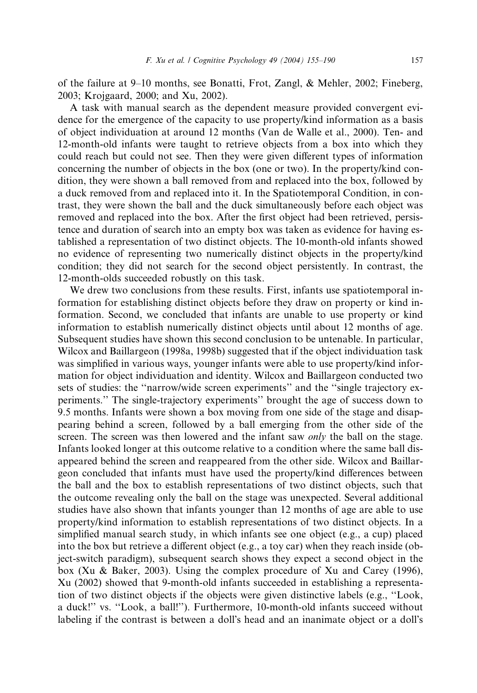of the failure at 9–10 months, see Bonatti, Frot, Zangl, & Mehler, 2002; Fineberg, 2003; Krojgaard, 2000; and Xu, 2002).

A task with manual search as the dependent measure provided convergent evidence for the emergence of the capacity to use property/kind information as a basis of object individuation at around 12 months (Van de Walle et al., 2000). Ten- and 12-month-old infants were taught to retrieve objects from a box into which they could reach but could not see. Then they were given different types of information concerning the number of objects in the box (one or two). In the property/kind condition, they were shown a ball removed from and replaced into the box, followed by a duck removed from and replaced into it. In the Spatiotemporal Condition, in contrast, they were shown the ball and the duck simultaneously before each object was removed and replaced into the box. After the first object had been retrieved, persistence and duration of search into an empty box was taken as evidence for having established a representation of two distinct objects. The 10-month-old infants showed no evidence of representing two numerically distinct objects in the property/kind condition; they did not search for the second object persistently. In contrast, the 12-month-olds succeeded robustly on this task.

We drew two conclusions from these results. First, infants use spatiotemporal information for establishing distinct objects before they draw on property or kind information. Second, we concluded that infants are unable to use property or kind information to establish numerically distinct objects until about 12 months of age. Subsequent studies have shown this second conclusion to be untenable. In particular, Wilcox and Baillargeon (1998a, 1998b) suggested that if the object individuation task was simplified in various ways, younger infants were able to use property/kind information for object individuation and identity. Wilcox and Baillargeon conducted two sets of studies: the ''narrow/wide screen experiments'' and the ''single trajectory experiments.'' The single-trajectory experiments'' brought the age of success down to 9.5 months. Infants were shown a box moving from one side of the stage and disappearing behind a screen, followed by a ball emerging from the other side of the screen. The screen was then lowered and the infant saw *only* the ball on the stage. Infants looked longer at this outcome relative to a condition where the same ball disappeared behind the screen and reappeared from the other side. Wilcox and Baillargeon concluded that infants must have used the property/kind differences between the ball and the box to establish representations of two distinct objects, such that the outcome revealing only the ball on the stage was unexpected. Several additional studies have also shown that infants younger than 12 months of age are able to use property/kind information to establish representations of two distinct objects. In a simplified manual search study, in which infants see one object (e.g., a cup) placed into the box but retrieve a different object (e.g., a toy car) when they reach inside (object-switch paradigm), subsequent search shows they expect a second object in the box (Xu & Baker, 2003). Using the complex procedure of Xu and Carey (1996), Xu (2002) showed that 9-month-old infants succeeded in establishing a representation of two distinct objects if the objects were given distinctive labels (e.g., ''Look, a duck!'' vs. ''Look, a ball!''). Furthermore, 10-month-old infants succeed without labeling if the contrast is between a doll's head and an inanimate object or a doll's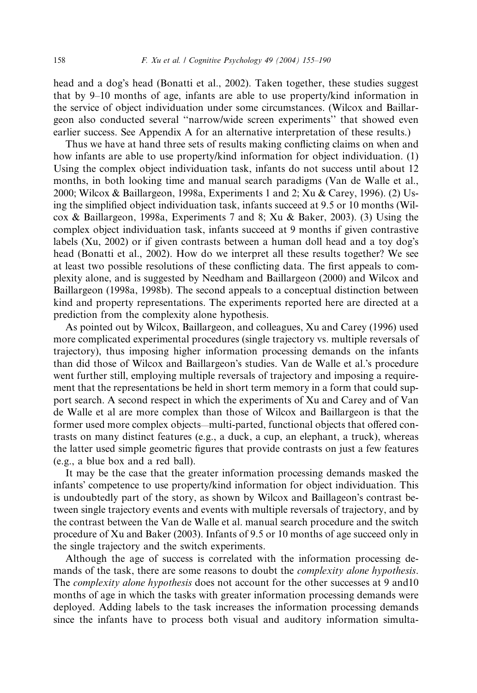head and a dog's head (Bonatti et al., 2002). Taken together, these studies suggest that by 9–10 months of age, infants are able to use property/kind information in the service of object individuation under some circumstances. (Wilcox and Baillargeon also conducted several ''narrow/wide screen experiments'' that showed even earlier success. See Appendix A for an alternative interpretation of these results.)

Thus we have at hand three sets of results making conflicting claims on when and how infants are able to use property/kind information for object individuation. (1) Using the complex object individuation task, infants do not success until about 12 months, in both looking time and manual search paradigms (Van de Walle et al., 2000; Wilcox & Baillargeon, 1998a, Experiments 1 and 2; Xu & Carey, 1996). (2) Using the simplified object individuation task, infants succeed at 9.5 or 10 months (Wilcox & Baillargeon, 1998a, Experiments 7 and 8; Xu & Baker, 2003). (3) Using the complex object individuation task, infants succeed at 9 months if given contrastive labels (Xu, 2002) or if given contrasts between a human doll head and a toy dog's head (Bonatti et al., 2002). How do we interpret all these results together? We see at least two possible resolutions of these conflicting data. The first appeals to complexity alone, and is suggested by Needham and Baillargeon (2000) and Wilcox and Baillargeon (1998a, 1998b). The second appeals to a conceptual distinction between kind and property representations. The experiments reported here are directed at a prediction from the complexity alone hypothesis.

As pointed out by Wilcox, Baillargeon, and colleagues, Xu and Carey (1996) used more complicated experimental procedures (single trajectory vs. multiple reversals of trajectory), thus imposing higher information processing demands on the infants than did those of Wilcox and Baillargeon's studies. Van de Walle et al.'s procedure went further still, employing multiple reversals of trajectory and imposing a requirement that the representations be held in short term memory in a form that could support search. A second respect in which the experiments of Xu and Carey and of Van de Walle et al are more complex than those of Wilcox and Baillargeon is that the former used more complex objects—multi-parted, functional objects that offered contrasts on many distinct features (e.g., a duck, a cup, an elephant, a truck), whereas the latter used simple geometric figures that provide contrasts on just a few features (e.g., a blue box and a red ball).

It may be the case that the greater information processing demands masked the infants' competence to use property/kind information for object individuation. This is undoubtedly part of the story, as shown by Wilcox and Baillageon's contrast between single trajectory events and events with multiple reversals of trajectory, and by the contrast between the Van de Walle et al. manual search procedure and the switch procedure of Xu and Baker (2003). Infants of 9.5 or 10 months of age succeed only in the single trajectory and the switch experiments.

Although the age of success is correlated with the information processing demands of the task, there are some reasons to doubt the *complexity alone hypothesis*. The *complexity alone hypothesis* does not account for the other successes at 9 and 10 months of age in which the tasks with greater information processing demands were deployed. Adding labels to the task increases the information processing demands since the infants have to process both visual and auditory information simulta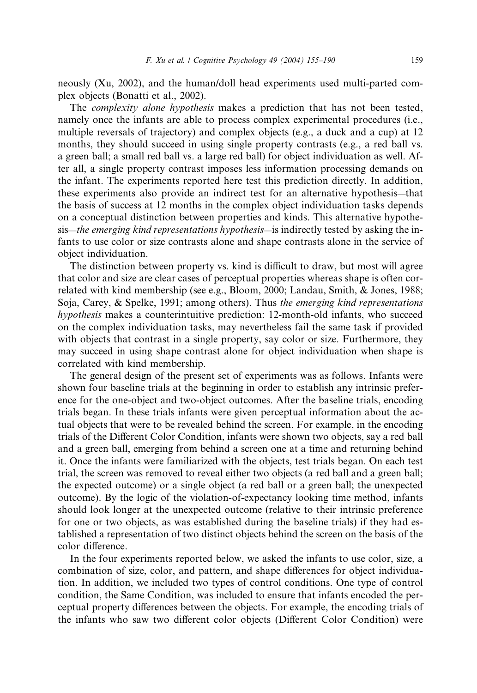neously (Xu, 2002), and the human/doll head experiments used multi-parted complex objects (Bonatti et al., 2002).

The *complexity alone hypothesis* makes a prediction that has not been tested, namely once the infants are able to process complex experimental procedures (i.e., multiple reversals of trajectory) and complex objects (e.g., a duck and a cup) at 12 months, they should succeed in using single property contrasts (e.g., a red ball vs. a green ball; a small red ball vs. a large red ball) for object individuation as well. After all, a single property contrast imposes less information processing demands on the infant. The experiments reported here test this prediction directly. In addition, these experiments also provide an indirect test for an alternative hypothesis—that the basis of success at 12 months in the complex object individuation tasks depends on a conceptual distinction between properties and kinds. This alternative hypothesis—the emerging kind representations hypothesis—is indirectly tested by asking the infants to use color or size contrasts alone and shape contrasts alone in the service of object individuation.

The distinction between property vs. kind is difficult to draw, but most will agree that color and size are clear cases of perceptual properties whereas shape is often correlated with kind membership (see e.g., Bloom, 2000; Landau, Smith, & Jones, 1988; Soja, Carey, & Spelke, 1991; among others). Thus the emerging kind representations hypothesis makes a counterintuitive prediction: 12-month-old infants, who succeed on the complex individuation tasks, may nevertheless fail the same task if provided with objects that contrast in a single property, say color or size. Furthermore, they may succeed in using shape contrast alone for object individuation when shape is correlated with kind membership.

The general design of the present set of experiments was as follows. Infants were shown four baseline trials at the beginning in order to establish any intrinsic preference for the one-object and two-object outcomes. After the baseline trials, encoding trials began. In these trials infants were given perceptual information about the actual objects that were to be revealed behind the screen. For example, in the encoding trials of the Different Color Condition, infants were shown two objects, say a red ball and a green ball, emerging from behind a screen one at a time and returning behind it. Once the infants were familiarized with the objects, test trials began. On each test trial, the screen was removed to reveal either two objects (a red ball and a green ball; the expected outcome) or a single object (a red ball or a green ball; the unexpected outcome). By the logic of the violation-of-expectancy looking time method, infants should look longer at the unexpected outcome (relative to their intrinsic preference for one or two objects, as was established during the baseline trials) if they had established a representation of two distinct objects behind the screen on the basis of the color difference.

In the four experiments reported below, we asked the infants to use color, size, a combination of size, color, and pattern, and shape differences for object individuation. In addition, we included two types of control conditions. One type of control condition, the Same Condition, was included to ensure that infants encoded the perceptual property differences between the objects. For example, the encoding trials of the infants who saw two different color objects (Different Color Condition) were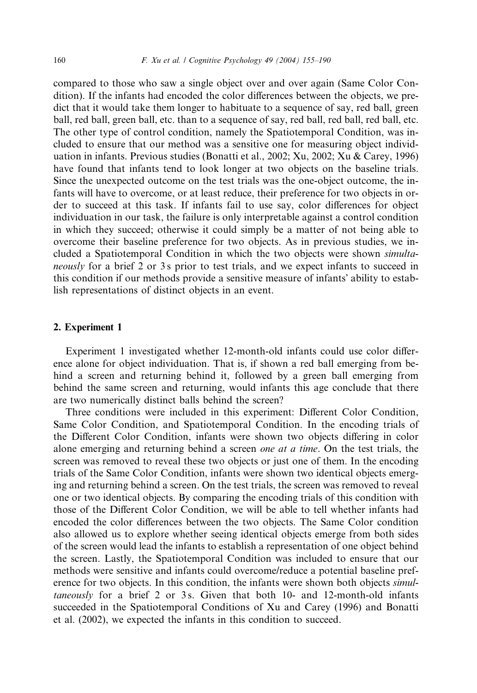compared to those who saw a single object over and over again (Same Color Condition). If the infants had encoded the color differences between the objects, we predict that it would take them longer to habituate to a sequence of say, red ball, green ball, red ball, green ball, etc. than to a sequence of say, red ball, red ball, red ball, etc. The other type of control condition, namely the Spatiotemporal Condition, was included to ensure that our method was a sensitive one for measuring object individuation in infants. Previous studies (Bonatti et al., 2002; Xu, 2002; Xu & Carey, 1996) have found that infants tend to look longer at two objects on the baseline trials. Since the unexpected outcome on the test trials was the one-object outcome, the infants will have to overcome, or at least reduce, their preference for two objects in order to succeed at this task. If infants fail to use say, color differences for object individuation in our task, the failure is only interpretable against a control condition in which they succeed; otherwise it could simply be a matter of not being able to overcome their baseline preference for two objects. As in previous studies, we included a Spatiotemporal Condition in which the two objects were shown simultaneously for a brief 2 or 3 s prior to test trials, and we expect infants to succeed in this condition if our methods provide a sensitive measure of infants ability to establish representations of distinct objects in an event.

#### 2. Experiment 1

Experiment 1 investigated whether 12-month-old infants could use color difference alone for object individuation. That is, if shown a red ball emerging from behind a screen and returning behind it, followed by a green ball emerging from behind the same screen and returning, would infants this age conclude that there are two numerically distinct balls behind the screen?

Three conditions were included in this experiment: Different Color Condition, Same Color Condition, and Spatiotemporal Condition. In the encoding trials of the Different Color Condition, infants were shown two objects differing in color alone emerging and returning behind a screen one at a time. On the test trials, the screen was removed to reveal these two objects or just one of them. In the encoding trials of the Same Color Condition, infants were shown two identical objects emerging and returning behind a screen. On the test trials, the screen was removed to reveal one or two identical objects. By comparing the encoding trials of this condition with those of the Different Color Condition, we will be able to tell whether infants had encoded the color differences between the two objects. The Same Color condition also allowed us to explore whether seeing identical objects emerge from both sides of the screen would lead the infants to establish a representation of one object behind the screen. Lastly, the Spatiotemporal Condition was included to ensure that our methods were sensitive and infants could overcome/reduce a potential baseline preference for two objects. In this condition, the infants were shown both objects *simul* $taneously$  for a brief 2 or 3s. Given that both 10- and 12-month-old infants succeeded in the Spatiotemporal Conditions of Xu and Carey (1996) and Bonatti et al. (2002), we expected the infants in this condition to succeed.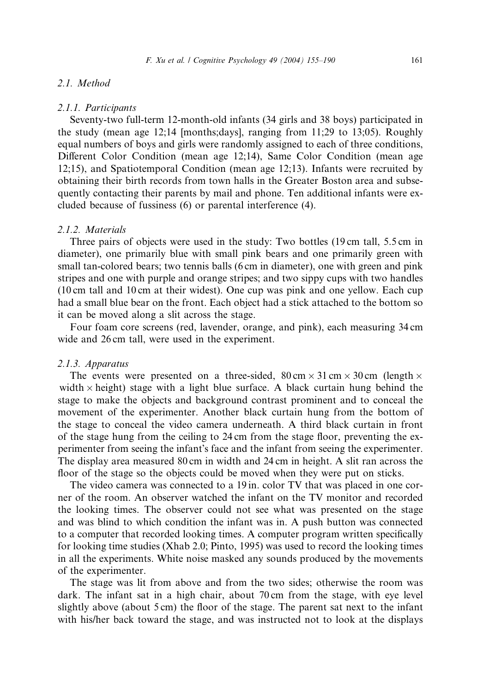# 2.1. Method

#### 2.1.1. Participants

Seventy-two full-term 12-month-old infants (34 girls and 38 boys) participated in the study (mean age 12;14 [months;days], ranging from 11;29 to 13;05). Roughly equal numbers of boys and girls were randomly assigned to each of three conditions, Different Color Condition (mean age 12;14), Same Color Condition (mean age 12;15), and Spatiotemporal Condition (mean age 12;13). Infants were recruited by obtaining their birth records from town halls in the Greater Boston area and subsequently contacting their parents by mail and phone. Ten additional infants were excluded because of fussiness (6) or parental interference (4).

# 2.1.2. Materials

Three pairs of objects were used in the study: Two bottles (19 cm tall, 5.5 cm in diameter), one primarily blue with small pink bears and one primarily green with small tan-colored bears; two tennis balls (6 cm in diameter), one with green and pink stripes and one with purple and orange stripes; and two sippy cups with two handles (10 cm tall and 10 cm at their widest). One cup was pink and one yellow. Each cup had a small blue bear on the front. Each object had a stick attached to the bottom so it can be moved along a slit across the stage.

Four foam core screens (red, lavender, orange, and pink), each measuring 34 cm wide and 26 cm tall, were used in the experiment.

## 2.1.3. Apparatus

The events were presented on a three-sided,  $80 \text{ cm} \times 31 \text{ cm} \times 30 \text{ cm}$  (length  $\times$ width  $\times$  height) stage with a light blue surface. A black curtain hung behind the stage to make the objects and background contrast prominent and to conceal the movement of the experimenter. Another black curtain hung from the bottom of the stage to conceal the video camera underneath. A third black curtain in front of the stage hung from the ceiling to 24 cm from the stage floor, preventing the experimenter from seeing the infant's face and the infant from seeing the experimenter. The display area measured 80 cm in width and 24 cm in height. A slit ran across the floor of the stage so the objects could be moved when they were put on sticks.

The video camera was connected to a 19 in. color TV that was placed in one corner of the room. An observer watched the infant on the TV monitor and recorded the looking times. The observer could not see what was presented on the stage and was blind to which condition the infant was in. A push button was connected to a computer that recorded looking times. A computer program written specifically for looking time studies (Xhab 2.0; Pinto, 1995) was used to record the looking times in all the experiments. White noise masked any sounds produced by the movements of the experimenter.

The stage was lit from above and from the two sides; otherwise the room was dark. The infant sat in a high chair, about 70 cm from the stage, with eye level slightly above (about 5 cm) the floor of the stage. The parent sat next to the infant with his/her back toward the stage, and was instructed not to look at the displays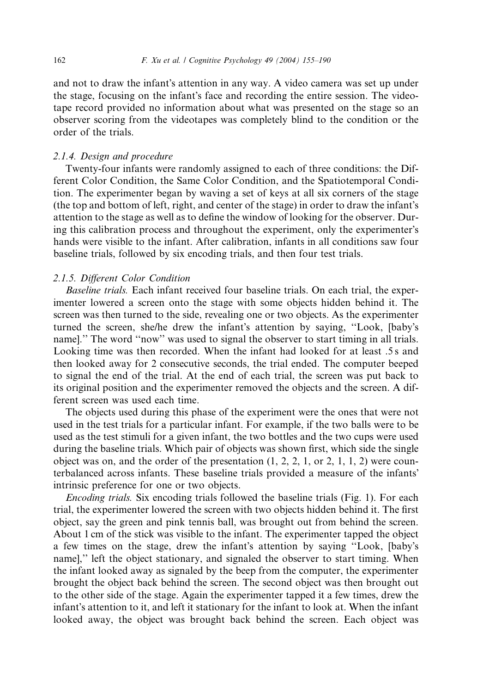and not to draw the infant's attention in any way. A video camera was set up under the stage, focusing on the infant's face and recording the entire session. The videotape record provided no information about what was presented on the stage so an observer scoring from the videotapes was completely blind to the condition or the order of the trials.

#### 2.1.4. Design and procedure

Twenty-four infants were randomly assigned to each of three conditions: the Different Color Condition, the Same Color Condition, and the Spatiotemporal Condition. The experimenter began by waving a set of keys at all six corners of the stage (the top and bottom of left, right, and center of the stage) in order to draw the infants attention to the stage as well as to define the window of looking for the observer. During this calibration process and throughout the experiment, only the experimenter's hands were visible to the infant. After calibration, infants in all conditions saw four baseline trials, followed by six encoding trials, and then four test trials.

## 2.1.5. Different Color Condition

Baseline trials. Each infant received four baseline trials. On each trial, the experimenter lowered a screen onto the stage with some objects hidden behind it. The screen was then turned to the side, revealing one or two objects. As the experimenter turned the screen, she/he drew the infant's attention by saying, "Look, [baby's name]." The word "now" was used to signal the observer to start timing in all trials. Looking time was then recorded. When the infant had looked for at least .5 s and then looked away for 2 consecutive seconds, the trial ended. The computer beeped to signal the end of the trial. At the end of each trial, the screen was put back to its original position and the experimenter removed the objects and the screen. A different screen was used each time.

The objects used during this phase of the experiment were the ones that were not used in the test trials for a particular infant. For example, if the two balls were to be used as the test stimuli for a given infant, the two bottles and the two cups were used during the baseline trials. Which pair of objects was shown first, which side the single object was on, and the order of the presentation  $(1, 2, 2, 1, 0r, 2, 1, 1, 2)$  were counterbalanced across infants. These baseline trials provided a measure of the infants intrinsic preference for one or two objects.

Encoding trials. Six encoding trials followed the baseline trials (Fig. 1). For each trial, the experimenter lowered the screen with two objects hidden behind it. The first object, say the green and pink tennis ball, was brought out from behind the screen. About 1 cm of the stick was visible to the infant. The experimenter tapped the object a few times on the stage, drew the infant's attention by saying "Look, [baby's name],'' left the object stationary, and signaled the observer to start timing. When the infant looked away as signaled by the beep from the computer, the experimenter brought the object back behind the screen. The second object was then brought out to the other side of the stage. Again the experimenter tapped it a few times, drew the infant's attention to it, and left it stationary for the infant to look at. When the infant looked away, the object was brought back behind the screen. Each object was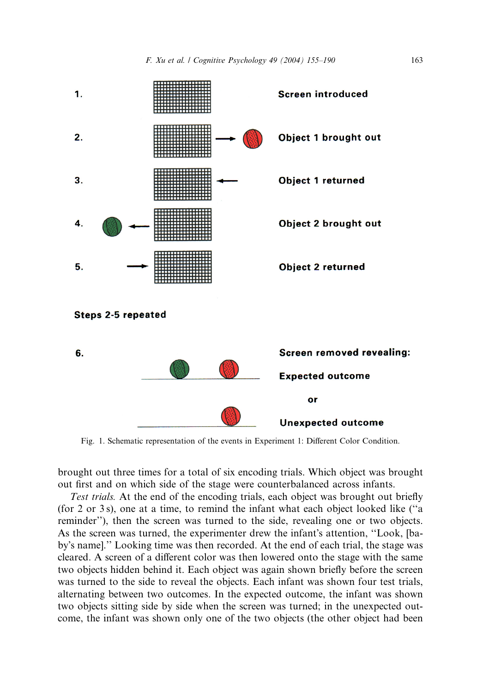

Fig. 1. Schematic representation of the events in Experiment 1: Different Color Condition.

brought out three times for a total of six encoding trials. Which object was brought out first and on which side of the stage were counterbalanced across infants.

Test trials. At the end of the encoding trials, each object was brought out briefly (for 2 or 3 s), one at a time, to remind the infant what each object looked like (''a reminder''), then the screen was turned to the side, revealing one or two objects. As the screen was turned, the experimenter drew the infant's attention, "Look, [baby's name]." Looking time was then recorded. At the end of each trial, the stage was cleared. A screen of a different color was then lowered onto the stage with the same two objects hidden behind it. Each object was again shown briefly before the screen was turned to the side to reveal the objects. Each infant was shown four test trials, alternating between two outcomes. In the expected outcome, the infant was shown two objects sitting side by side when the screen was turned; in the unexpected outcome, the infant was shown only one of the two objects (the other object had been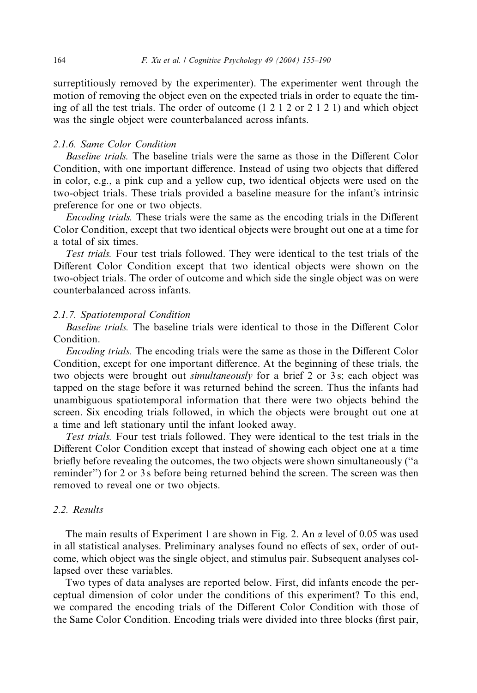surreptitiously removed by the experimenter). The experimenter went through the motion of removing the object even on the expected trials in order to equate the timing of all the test trials. The order of outcome  $(1\ 2\ 1\ 2\ 0\ r\ 2\ 1\ 2\ 1)$  and which object was the single object were counterbalanced across infants.

# 2.1.6. Same Color Condition

Baseline trials. The baseline trials were the same as those in the Different Color Condition, with one important difference. Instead of using two objects that differed in color, e.g., a pink cup and a yellow cup, two identical objects were used on the two-object trials. These trials provided a baseline measure for the infant's intrinsic preference for one or two objects.

Encoding trials. These trials were the same as the encoding trials in the Different Color Condition, except that two identical objects were brought out one at a time for a total of six times.

Test trials. Four test trials followed. They were identical to the test trials of the Different Color Condition except that two identical objects were shown on the two-object trials. The order of outcome and which side the single object was on were counterbalanced across infants.

#### 2.1.7. Spatiotemporal Condition

Baseline trials. The baseline trials were identical to those in the Different Color Condition.

Encoding trials. The encoding trials were the same as those in the Different Color Condition, except for one important difference. At the beginning of these trials, the two objects were brought out *simultaneously* for a brief 2 or 3s; each object was tapped on the stage before it was returned behind the screen. Thus the infants had unambiguous spatiotemporal information that there were two objects behind the screen. Six encoding trials followed, in which the objects were brought out one at a time and left stationary until the infant looked away.

Test trials. Four test trials followed. They were identical to the test trials in the Different Color Condition except that instead of showing each object one at a time briefly before revealing the outcomes, the two objects were shown simultaneously (''a reminder'') for 2 or 3 s before being returned behind the screen. The screen was then removed to reveal one or two objects.

## 2.2. Results

The main results of Experiment 1 are shown in Fig. 2. An  $\alpha$  level of 0.05 was used in all statistical analyses. Preliminary analyses found no effects of sex, order of outcome, which object was the single object, and stimulus pair. Subsequent analyses collapsed over these variables.

Two types of data analyses are reported below. First, did infants encode the perceptual dimension of color under the conditions of this experiment? To this end, we compared the encoding trials of the Different Color Condition with those of the Same Color Condition. Encoding trials were divided into three blocks (first pair,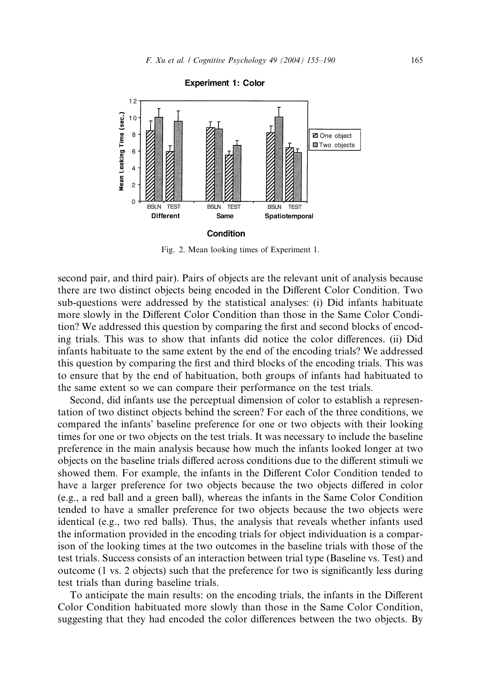

#### **Experiment 1: Color**

Fig. 2. Mean looking times of Experiment 1.

second pair, and third pair). Pairs of objects are the relevant unit of analysis because there are two distinct objects being encoded in the Different Color Condition. Two sub-questions were addressed by the statistical analyses: (i) Did infants habituate more slowly in the Different Color Condition than those in the Same Color Condition? We addressed this question by comparing the first and second blocks of encoding trials. This was to show that infants did notice the color differences. (ii) Did infants habituate to the same extent by the end of the encoding trials? We addressed this question by comparing the first and third blocks of the encoding trials. This was to ensure that by the end of habituation, both groups of infants had habituated to the same extent so we can compare their performance on the test trials.

Second, did infants use the perceptual dimension of color to establish a representation of two distinct objects behind the screen? For each of the three conditions, we compared the infants' baseline preference for one or two objects with their looking times for one or two objects on the test trials. It was necessary to include the baseline preference in the main analysis because how much the infants looked longer at two objects on the baseline trials differed across conditions due to the different stimuli we showed them. For example, the infants in the Different Color Condition tended to have a larger preference for two objects because the two objects differed in color (e.g., a red ball and a green ball), whereas the infants in the Same Color Condition tended to have a smaller preference for two objects because the two objects were identical (e.g., two red balls). Thus, the analysis that reveals whether infants used the information provided in the encoding trials for object individuation is a comparison of the looking times at the two outcomes in the baseline trials with those of the test trials. Success consists of an interaction between trial type (Baseline vs. Test) and outcome (1 vs. 2 objects) such that the preference for two is significantly less during test trials than during baseline trials.

To anticipate the main results: on the encoding trials, the infants in the Different Color Condition habituated more slowly than those in the Same Color Condition, suggesting that they had encoded the color differences between the two objects. By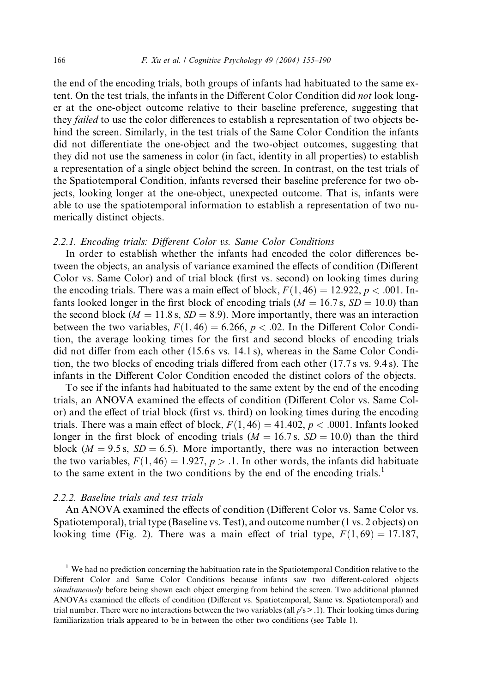the end of the encoding trials, both groups of infants had habituated to the same extent. On the test trials, the infants in the Different Color Condition did not look longer at the one-object outcome relative to their baseline preference, suggesting that they failed to use the color differences to establish a representation of two objects behind the screen. Similarly, in the test trials of the Same Color Condition the infants did not differentiate the one-object and the two-object outcomes, suggesting that they did not use the sameness in color (in fact, identity in all properties) to establish a representation of a single object behind the screen. In contrast, on the test trials of the Spatiotemporal Condition, infants reversed their baseline preference for two objects, looking longer at the one-object, unexpected outcome. That is, infants were able to use the spatiotemporal information to establish a representation of two numerically distinct objects.

## 2.2.1. Encoding trials: Different Color vs. Same Color Conditions

In order to establish whether the infants had encoded the color differences between the objects, an analysis of variance examined the effects of condition (Different Color vs. Same Color) and of trial block (first vs. second) on looking times during the encoding trials. There was a main effect of block,  $F(1, 46) = 12.922$ ,  $p < .001$ . Infants looked longer in the first block of encoding trials ( $M = 16.7$  s,  $SD = 10.0$ ) than the second block ( $M = 11.8$  s,  $SD = 8.9$ ). More importantly, there was an interaction between the two variables,  $F(1, 46) = 6.266$ ,  $p < .02$ . In the Different Color Condition, the average looking times for the first and second blocks of encoding trials did not differ from each other (15.6 s vs. 14.1 s), whereas in the Same Color Condition, the two blocks of encoding trials differed from each other (17.7 s vs. 9.4 s). The infants in the Different Color Condition encoded the distinct colors of the objects.

To see if the infants had habituated to the same extent by the end of the encoding trials, an ANOVA examined the effects of condition (Different Color vs. Same Color) and the effect of trial block (first vs. third) on looking times during the encoding trials. There was a main effect of block,  $F(1,46) = 41.402$ ,  $p < .0001$ . Infants looked longer in the first block of encoding trials ( $M = 16.7$  s,  $SD = 10.0$ ) than the third block ( $M = 9.5$  s,  $SD = 6.5$ ). More importantly, there was no interaction between the two variables,  $F(1, 46) = 1.927$ ,  $p > 1$ . In other words, the infants did habituate to the same extent in the two conditions by the end of the encoding trials.<sup>1</sup>

#### 2.2.2. Baseline trials and test trials

An ANOVA examined the effects of condition (Different Color vs. Same Color vs. Spatiotemporal), trial type (Baseline vs. Test), and outcome number (1 vs. 2 objects) on looking time (Fig. 2). There was a main effect of trial type,  $F(1,69) = 17.187$ ,

 $1$  We had no prediction concerning the habituation rate in the Spatiotemporal Condition relative to the Different Color and Same Color Conditions because infants saw two different-colored objects simultaneously before being shown each object emerging from behind the screen. Two additional planned ANOVAs examined the effects of condition (Different vs. Spatiotemporal, Same vs. Spatiotemporal) and trial number. There were no interactions between the two variables (all  $p$ 's > .1). Their looking times during familiarization trials appeared to be in between the other two conditions (see Table 1).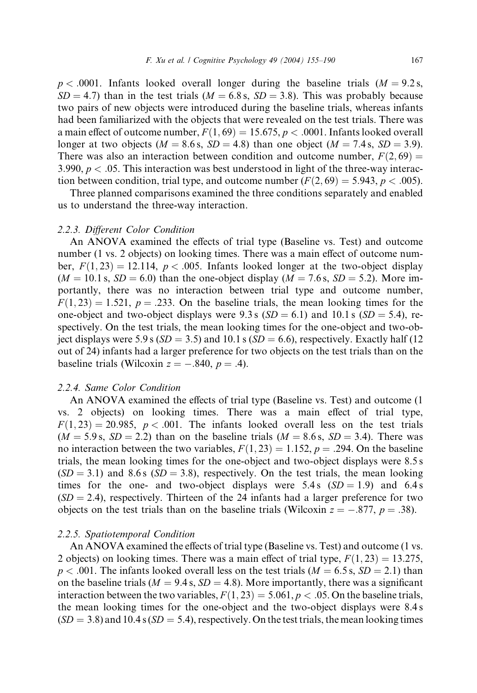$p < .0001$ . Infants looked overall longer during the baseline trials  $(M = 9.2 s$ ,  $SD = 4.7$ ) than in the test trials ( $M = 6.8$  s,  $SD = 3.8$ ). This was probably because two pairs of new objects were introduced during the baseline trials, whereas infants had been familiarized with the objects that were revealed on the test trials. There was a main effect of outcome number,  $F(1, 69) = 15.675$ ,  $p < .0001$ . Infants looked overall longer at two objects ( $M = 8.6$  s,  $SD = 4.8$ ) than one object ( $M = 7.4$  s,  $SD = 3.9$ ). There was also an interaction between condition and outcome number,  $F(2, 69) =$ 3.990,  $p < .05$ . This interaction was best understood in light of the three-way interaction between condition, trial type, and outcome number  $(F(2, 69) = 5.943, p < .005)$ .

Three planned comparisons examined the three conditions separately and enabled us to understand the three-way interaction.

#### 2.2.3. Different Color Condition

An ANOVA examined the effects of trial type (Baseline vs. Test) and outcome number (1 vs. 2 objects) on looking times. There was a main effect of outcome number,  $F(1,23) = 12.114$ ,  $p < .005$ . Infants looked longer at the two-object display  $(M = 10.1 \text{ s}, SD = 6.0)$  than the one-object display  $(M = 7.6 \text{ s}, SD = 5.2)$ . More importantly, there was no interaction between trial type and outcome number,  $F(1, 23) = 1.521$ ,  $p = .233$ . On the baseline trials, the mean looking times for the one-object and two-object displays were 9.3 s  $(SD = 6.1)$  and 10.1 s  $(SD = 5.4)$ , respectively. On the test trials, the mean looking times for the one-object and two-object displays were 5.9 s ( $SD = 3.5$ ) and 10.1 s ( $SD = 6.6$ ), respectively. Exactly half (12) out of 24) infants had a larger preference for two objects on the test trials than on the baseline trials (Wilcoxin  $z = -.840, p = .4$ ).

#### 2.2.4. Same Color Condition

An ANOVA examined the effects of trial type (Baseline vs. Test) and outcome (1 vs. 2 objects) on looking times. There was a main effect of trial type,  $F(1, 23) = 20.985$ ,  $p < .001$ . The infants looked overall less on the test trials  $(M = 5.9 \text{ s}, SD = 2.2)$  than on the baseline trials  $(M = 8.6 \text{ s}, SD = 3.4)$ . There was no interaction between the two variables,  $F(1,23) = 1.152$ ,  $p = .294$ . On the baseline trials, the mean looking times for the one-object and two-object displays were 8.5 s  $(SD = 3.1)$  and 8.6 s  $(SD = 3.8)$ , respectively. On the test trials, the mean looking times for the one- and two-object displays were 5.4 s  $(SD = 1.9)$  and 6.4 s  $(SD = 2.4)$ , respectively. Thirteen of the 24 infants had a larger preference for two objects on the test trials than on the baseline trials (Wilcoxin  $z = -.877$ ,  $p = .38$ ).

## 2.2.5. Spatiotemporal Condition

An ANOVA examined the effects of trial type (Baseline vs. Test) and outcome (1 vs. 2 objects) on looking times. There was a main effect of trial type,  $F(1,23) = 13.275$ ,  $p < .001$ . The infants looked overall less on the test trials ( $M = 6.5$  s,  $SD = 2.1$ ) than on the baseline trials ( $M = 9.4$  s,  $SD = 4.8$ ). More importantly, there was a significant interaction between the two variables,  $F(1, 23) = 5.061$ ,  $p < .05$ . On the baseline trials, the mean looking times for the one-object and the two-object displays were 8.4 s  $(SD = 3.8)$  and 10.4 s  $(SD = 5.4)$ , respectively. On the test trials, the mean looking times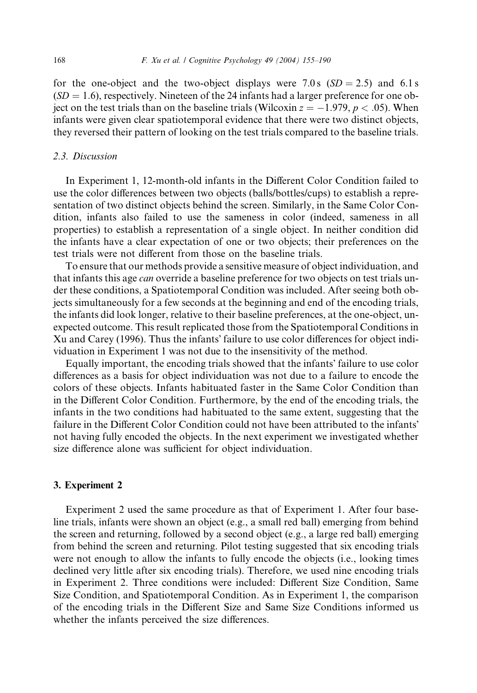for the one-object and the two-object displays were 7.0 s  $(SD = 2.5)$  and 6.1 s  $(SD = 1.6)$ , respectively. Nineteen of the 24 infants had a larger preference for one object on the test trials than on the baseline trials (Wilcoxin  $z = -1.979$ ,  $p < .05$ ). When infants were given clear spatiotemporal evidence that there were two distinct objects, they reversed their pattern of looking on the test trials compared to the baseline trials.

## 2.3. Discussion

In Experiment 1, 12-month-old infants in the Different Color Condition failed to use the color differences between two objects (balls/bottles/cups) to establish a representation of two distinct objects behind the screen. Similarly, in the Same Color Condition, infants also failed to use the sameness in color (indeed, sameness in all properties) to establish a representation of a single object. In neither condition did the infants have a clear expectation of one or two objects; their preferences on the test trials were not different from those on the baseline trials.

To ensure that our methods provide a sensitive measure of object individuation, and that infants this age *can* override a baseline preference for two objects on test trials under these conditions, a Spatiotemporal Condition was included. After seeing both objects simultaneously for a few seconds at the beginning and end of the encoding trials, the infants did look longer, relative to their baseline preferences, at the one-object, unexpected outcome. This result replicated those from the Spatiotemporal Conditions in Xu and Carey (1996). Thus the infants' failure to use color differences for object individuation in Experiment 1 was not due to the insensitivity of the method.

Equally important, the encoding trials showed that the infants failure to use color differences as a basis for object individuation was not due to a failure to encode the colors of these objects. Infants habituated faster in the Same Color Condition than in the Different Color Condition. Furthermore, by the end of the encoding trials, the infants in the two conditions had habituated to the same extent, suggesting that the failure in the Different Color Condition could not have been attributed to the infants not having fully encoded the objects. In the next experiment we investigated whether size difference alone was sufficient for object individuation.

#### 3. Experiment 2

Experiment 2 used the same procedure as that of Experiment 1. After four baseline trials, infants were shown an object (e.g., a small red ball) emerging from behind the screen and returning, followed by a second object (e.g., a large red ball) emerging from behind the screen and returning. Pilot testing suggested that six encoding trials were not enough to allow the infants to fully encode the objects (i.e., looking times declined very little after six encoding trials). Therefore, we used nine encoding trials in Experiment 2. Three conditions were included: Different Size Condition, Same Size Condition, and Spatiotemporal Condition. As in Experiment 1, the comparison of the encoding trials in the Different Size and Same Size Conditions informed us whether the infants perceived the size differences.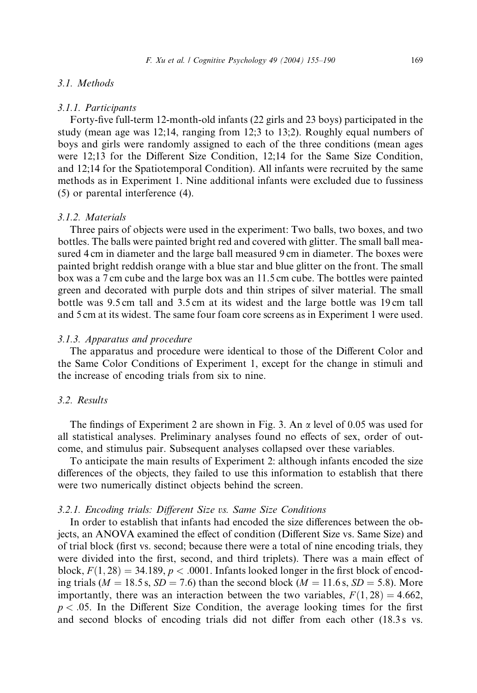# 3.1. Methods

#### 3.1.1. Participants

Forty-five full-term 12-month-old infants (22 girls and 23 boys) participated in the study (mean age was 12;14, ranging from 12;3 to 13;2). Roughly equal numbers of boys and girls were randomly assigned to each of the three conditions (mean ages were 12;13 for the Different Size Condition, 12;14 for the Same Size Condition, and 12;14 for the Spatiotemporal Condition). All infants were recruited by the same methods as in Experiment 1. Nine additional infants were excluded due to fussiness (5) or parental interference (4).

## 3.1.2. Materials

Three pairs of objects were used in the experiment: Two balls, two boxes, and two bottles. The balls were painted bright red and covered with glitter. The small ball measured 4 cm in diameter and the large ball measured 9 cm in diameter. The boxes were painted bright reddish orange with a blue star and blue glitter on the front. The small box was a 7 cm cube and the large box was an 11.5 cm cube. The bottles were painted green and decorated with purple dots and thin stripes of silver material. The small bottle was 9.5 cm tall and 3.5 cm at its widest and the large bottle was 19 cm tall and 5 cm at its widest. The same four foam core screens as in Experiment 1 were used.

#### 3.1.3. Apparatus and procedure

The apparatus and procedure were identical to those of the Different Color and the Same Color Conditions of Experiment 1, except for the change in stimuli and the increase of encoding trials from six to nine.

## 3.2. Results

The findings of Experiment 2 are shown in Fig. 3. An  $\alpha$  level of 0.05 was used for all statistical analyses. Preliminary analyses found no effects of sex, order of outcome, and stimulus pair. Subsequent analyses collapsed over these variables.

To anticipate the main results of Experiment 2: although infants encoded the size differences of the objects, they failed to use this information to establish that there were two numerically distinct objects behind the screen.

## 3.2.1. Encoding trials: Different Size vs. Same Size Conditions

In order to establish that infants had encoded the size differences between the objects, an ANOVA examined the effect of condition (Different Size vs. Same Size) and of trial block (first vs. second; because there were a total of nine encoding trials, they were divided into the first, second, and third triplets). There was a main effect of block,  $F(1, 28) = 34.189$ ,  $p < .0001$ . Infants looked longer in the first block of encoding trials ( $M = 18.5$  s,  $SD = 7.6$ ) than the second block ( $M = 11.6$  s,  $SD = 5.8$ ). More importantly, there was an interaction between the two variables,  $F(1,28) = 4.662$ ,  $p < .05$ . In the Different Size Condition, the average looking times for the first and second blocks of encoding trials did not differ from each other (18.3 s vs.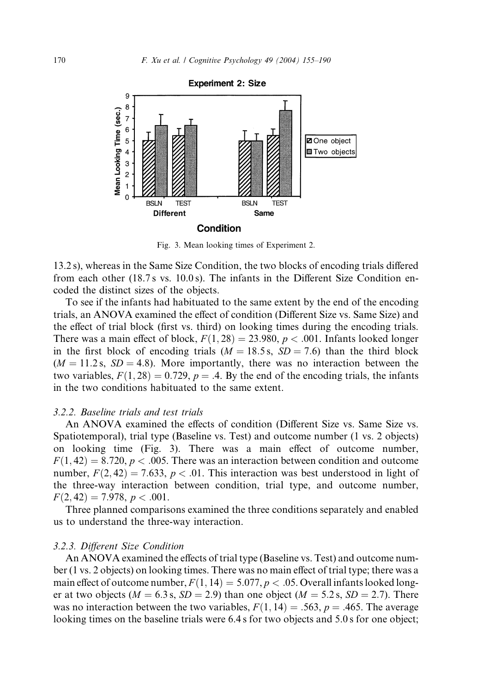

Fig. 3. Mean looking times of Experiment 2.

13.2 s), whereas in the Same Size Condition, the two blocks of encoding trials differed from each other (18.7 s vs. 10.0 s). The infants in the Different Size Condition encoded the distinct sizes of the objects.

To see if the infants had habituated to the same extent by the end of the encoding trials, an ANOVA examined the effect of condition (Different Size vs. Same Size) and the effect of trial block (first vs. third) on looking times during the encoding trials. There was a main effect of block,  $F(1, 28) = 23.980$ ,  $p < .001$ . Infants looked longer in the first block of encoding trials  $(M = 18.5 s, SD = 7.6)$  than the third block  $(M = 11.2 \text{ s}, SD = 4.8)$ . More importantly, there was no interaction between the two variables,  $F(1, 28) = 0.729$ ,  $p = .4$ . By the end of the encoding trials, the infants in the two conditions habituated to the same extent.

# 3.2.2. Baseline trials and test trials

An ANOVA examined the effects of condition (Different Size vs. Same Size vs. Spatiotemporal), trial type (Baseline vs. Test) and outcome number (1 vs. 2 objects) on looking time (Fig. 3). There was a main effect of outcome number,  $F(1, 42) = 8.720, p < .005$ . There was an interaction between condition and outcome number,  $F(2, 42) = 7.633$ ,  $p < .01$ . This interaction was best understood in light of the three-way interaction between condition, trial type, and outcome number,  $F(2, 42) = 7.978, p < .001.$ 

Three planned comparisons examined the three conditions separately and enabled us to understand the three-way interaction.

## 3.2.3. Different Size Condition

An ANOVA examined the effects of trial type (Baseline vs. Test) and outcome number (1 vs. 2 objects) on looking times. There was no main effect of trial type; there was a main effect of outcome number,  $F(1, 14) = 5.077, p < .05$ . Overall infants looked longer at two objects ( $M = 6.3$  s,  $SD = 2.9$ ) than one object ( $M = 5.2$  s,  $SD = 2.7$ ). There was no interaction between the two variables,  $F(1, 14) = .563$ ,  $p = .465$ . The average looking times on the baseline trials were 6.4 s for two objects and 5.0 s for one object;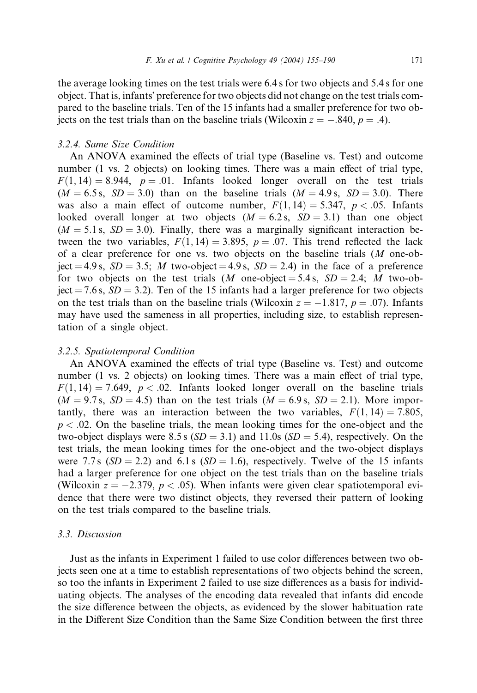the average looking times on the test trials were 6.4 s for two objects and 5.4 s for one object. That is, infants' preference for two objects did not change on the test trials compared to the baseline trials. Ten of the 15 infants had a smaller preference for two objects on the test trials than on the baseline trials (Wilcoxin  $z = -.840, p = .4$ ).

# 3.2.4. Same Size Condition

An ANOVA examined the effects of trial type (Baseline vs. Test) and outcome number (1 vs. 2 objects) on looking times. There was a main effect of trial type,  $F(1, 14) = 8.944$ ,  $p = .01$ . Infants looked longer overall on the test trials  $(M = 6.5 s, SD = 3.0)$  than on the baseline trials  $(M = 4.9 s, SD = 3.0)$ . There was also a main effect of outcome number,  $F(1, 14) = 5.347$ ,  $p < .05$ . Infants looked overall longer at two objects  $(M = 6.2 s, SD = 3.1)$  than one object  $(M = 5.1 \text{ s}, SD = 3.0)$ . Finally, there was a marginally significant interaction between the two variables,  $F(1, 14) = 3.895$ ,  $p = .07$ . This trend reflected the lack of a clear preference for one vs. two objects on the baseline trials  $(M$  one-object = 4.9 s,  $SD = 3.5$ ; M two-object = 4.9 s,  $SD = 2.4$ ) in the face of a preference for two objects on the test trials (M one-object = 5.4 s,  $SD = 2.4$ ; M two-object = 7.6 s,  $SD = 3.2$ ). Ten of the 15 infants had a larger preference for two objects on the test trials than on the baseline trials (Wilcoxin  $z = -1.817$ ,  $p = .07$ ). Infants may have used the sameness in all properties, including size, to establish representation of a single object.

#### 3.2.5. Spatiotemporal Condition

An ANOVA examined the effects of trial type (Baseline vs. Test) and outcome number (1 vs. 2 objects) on looking times. There was a main effect of trial type,  $F(1, 14) = 7.649$ ,  $p < .02$ . Infants looked longer overall on the baseline trials  $(M = 9.7 s, SD = 4.5)$  than on the test trials  $(M = 6.9 s, SD = 2.1)$ . More importantly, there was an interaction between the two variables,  $F(1, 14) = 7.805$ ,  $p < .02$ . On the baseline trials, the mean looking times for the one-object and the two-object displays were 8.5 s  $(SD = 3.1)$  and 11.0s  $(SD = 5.4)$ , respectively. On the test trials, the mean looking times for the one-object and the two-object displays were 7.7 s  $(SD = 2.2)$  and 6.1 s  $(SD = 1.6)$ , respectively. Twelve of the 15 infants had a larger preference for one object on the test trials than on the baseline trials (Wilcoxin  $z = -2.379$ ,  $p < .05$ ). When infants were given clear spatiotemporal evidence that there were two distinct objects, they reversed their pattern of looking on the test trials compared to the baseline trials.

## 3.3. Discussion

Just as the infants in Experiment 1 failed to use color differences between two objects seen one at a time to establish representations of two objects behind the screen, so too the infants in Experiment 2 failed to use size differences as a basis for individuating objects. The analyses of the encoding data revealed that infants did encode the size difference between the objects, as evidenced by the slower habituation rate in the Different Size Condition than the Same Size Condition between the first three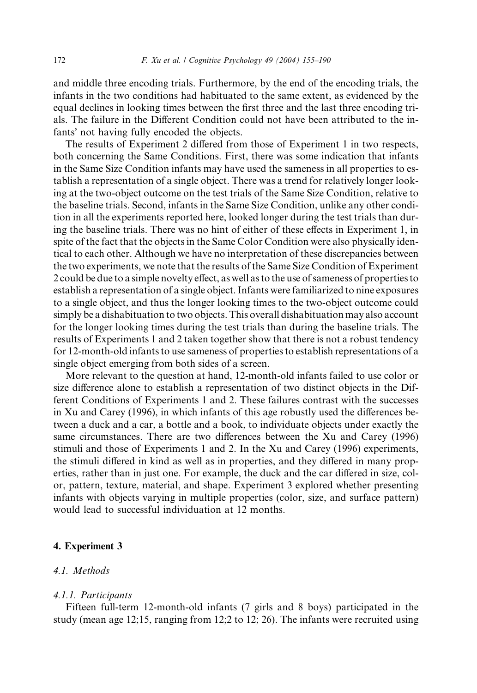and middle three encoding trials. Furthermore, by the end of the encoding trials, the infants in the two conditions had habituated to the same extent, as evidenced by the equal declines in looking times between the first three and the last three encoding trials. The failure in the Different Condition could not have been attributed to the infants' not having fully encoded the objects.

The results of Experiment 2 differed from those of Experiment 1 in two respects, both concerning the Same Conditions. First, there was some indication that infants in the Same Size Condition infants may have used the sameness in all properties to establish a representation of a single object. There was a trend for relatively longer looking at the two-object outcome on the test trials of the Same Size Condition, relative to the baseline trials. Second, infants in the Same Size Condition, unlike any other condition in all the experiments reported here, looked longer during the test trials than during the baseline trials. There was no hint of either of these effects in Experiment 1, in spite of the fact that the objects in the Same Color Condition were also physically identical to each other. Although we have no interpretation of these discrepancies between the two experiments, we note that the results of the Same Size Condition of Experiment 2 could be due to a simple novelty effect, as well as to the use of sameness of properties to establish a representation of a single object. Infants were familiarized to nine exposures to a single object, and thus the longer looking times to the two-object outcome could simply be a dishabituation to two objects. This overall dishabituation may also account for the longer looking times during the test trials than during the baseline trials. The results of Experiments 1 and 2 taken together show that there is not a robust tendency for 12-month-old infants to use sameness of properties to establish representations of a single object emerging from both sides of a screen.

More relevant to the question at hand, 12-month-old infants failed to use color or size difference alone to establish a representation of two distinct objects in the Different Conditions of Experiments 1 and 2. These failures contrast with the successes in Xu and Carey (1996), in which infants of this age robustly used the differences between a duck and a car, a bottle and a book, to individuate objects under exactly the same circumstances. There are two differences between the Xu and Carey (1996) stimuli and those of Experiments 1 and 2. In the Xu and Carey (1996) experiments, the stimuli differed in kind as well as in properties, and they differed in many properties, rather than in just one. For example, the duck and the car differed in size, color, pattern, texture, material, and shape. Experiment 3 explored whether presenting infants with objects varying in multiple properties (color, size, and surface pattern) would lead to successful individuation at 12 months.

## 4. Experiment 3

## 4.1. Methods

## 4.1.1. Participants

Fifteen full-term 12-month-old infants (7 girls and 8 boys) participated in the study (mean age 12;15, ranging from 12;2 to 12; 26). The infants were recruited using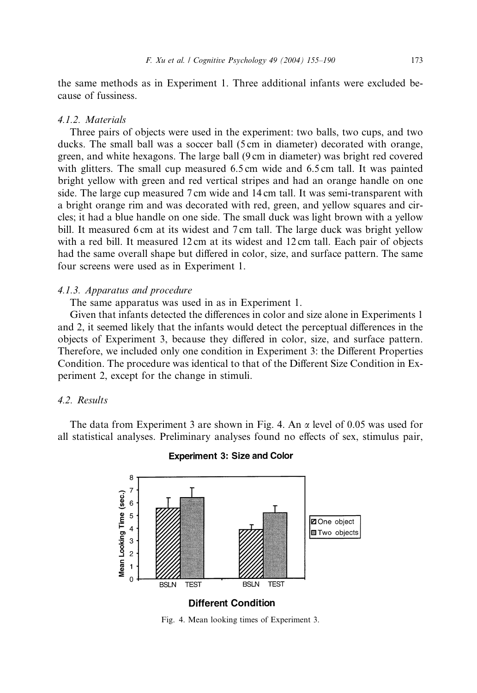the same methods as in Experiment 1. Three additional infants were excluded because of fussiness.

## 4.1.2. Materials

Three pairs of objects were used in the experiment: two balls, two cups, and two ducks. The small ball was a soccer ball (5 cm in diameter) decorated with orange, green, and white hexagons. The large ball (9 cm in diameter) was bright red covered with glitters. The small cup measured 6.5 cm wide and 6.5 cm tall. It was painted bright yellow with green and red vertical stripes and had an orange handle on one side. The large cup measured 7 cm wide and 14 cm tall. It was semi-transparent with a bright orange rim and was decorated with red, green, and yellow squares and circles; it had a blue handle on one side. The small duck was light brown with a yellow bill. It measured 6 cm at its widest and 7 cm tall. The large duck was bright yellow with a red bill. It measured 12 cm at its widest and 12 cm tall. Each pair of objects had the same overall shape but differed in color, size, and surface pattern. The same four screens were used as in Experiment 1.

## 4.1.3. Apparatus and procedure

The same apparatus was used in as in Experiment 1.

Given that infants detected the differences in color and size alone in Experiments 1 and 2, it seemed likely that the infants would detect the perceptual differences in the objects of Experiment 3, because they differed in color, size, and surface pattern. Therefore, we included only one condition in Experiment 3: the Different Properties Condition. The procedure was identical to that of the Different Size Condition in Experiment 2, except for the change in stimuli.

## 4.2. Results

The data from Experiment 3 are shown in Fig. 4. An  $\alpha$  level of 0.05 was used for all statistical analyses. Preliminary analyses found no effects of sex, stimulus pair,



## **Experiment 3: Size and Color**

Fig. 4. Mean looking times of Experiment 3.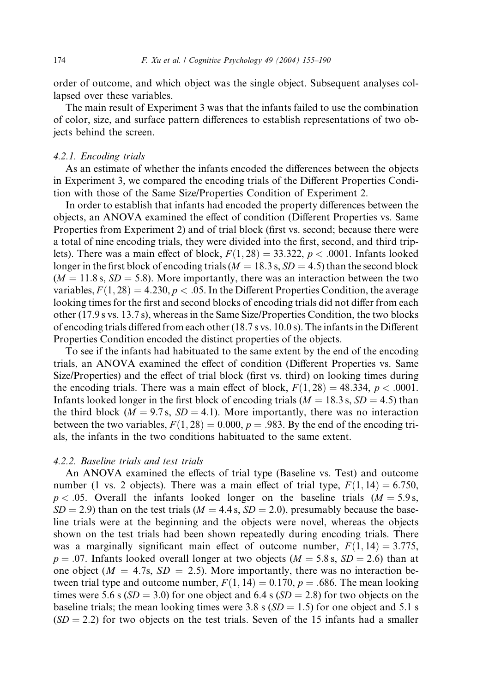order of outcome, and which object was the single object. Subsequent analyses collapsed over these variables.

The main result of Experiment 3 was that the infants failed to use the combination of color, size, and surface pattern differences to establish representations of two objects behind the screen.

## 4.2.1. Encoding trials

As an estimate of whether the infants encoded the differences between the objects in Experiment 3, we compared the encoding trials of the Different Properties Condition with those of the Same Size/Properties Condition of Experiment 2.

In order to establish that infants had encoded the property differences between the objects, an ANOVA examined the effect of condition (Different Properties vs. Same Properties from Experiment 2) and of trial block (first vs. second; because there were a total of nine encoding trials, they were divided into the first, second, and third triplets). There was a main effect of block,  $F(1,28) = 33.322$ ,  $p < .0001$ . Infants looked longer in the first block of encoding trials ( $M = 18.3$  s,  $SD = 4.5$ ) than the second block  $(M = 11.8 \text{ s}, SD = 5.8)$ . More importantly, there was an interaction between the two variables,  $F(1, 28) = 4.230, p < .05$ . In the Different Properties Condition, the average looking times for the first and second blocks of encoding trials did not differ from each other (17.9 s vs. 13.7 s), whereas in the Same Size/Properties Condition, the two blocks of encoding trials differed from each other (18.7 s vs. 10.0 s). The infants in the Different Properties Condition encoded the distinct properties of the objects.

To see if the infants had habituated to the same extent by the end of the encoding trials, an ANOVA examined the effect of condition (Different Properties vs. Same Size/Properties) and the effect of trial block (first vs. third) on looking times during the encoding trials. There was a main effect of block,  $F(1, 28) = 48.334$ ,  $p < .0001$ . Infants looked longer in the first block of encoding trials ( $M = 18.3$  s,  $SD = 4.5$ ) than the third block ( $M = 9.7$  s,  $SD = 4.1$ ). More importantly, there was no interaction between the two variables,  $F(1, 28) = 0.000$ ,  $p = .983$ . By the end of the encoding trials, the infants in the two conditions habituated to the same extent.

## 4.2.2. Baseline trials and test trials

An ANOVA examined the effects of trial type (Baseline vs. Test) and outcome number (1 vs. 2 objects). There was a main effect of trial type,  $F(1, 14) = 6.750$ ,  $p < .05$ . Overall the infants looked longer on the baseline trials  $(M = 5.9 s,$  $SD = 2.9$ ) than on the test trials ( $M = 4.4$  s,  $SD = 2.0$ ), presumably because the baseline trials were at the beginning and the objects were novel, whereas the objects shown on the test trials had been shown repeatedly during encoding trials. There was a marginally significant main effect of outcome number,  $F(1, 14) = 3.775$ ,  $p = .07$ . Infants looked overall longer at two objects ( $M = 5.8$  s,  $SD = 2.6$ ) than at one object ( $M = 4.7$ s,  $SD = 2.5$ ). More importantly, there was no interaction between trial type and outcome number,  $F(1, 14) = 0.170$ ,  $p = .686$ . The mean looking times were 5.6 s ( $SD = 3.0$ ) for one object and 6.4 s ( $SD = 2.8$ ) for two objects on the baseline trials; the mean looking times were 3.8 s  $(SD = 1.5)$  for one object and 5.1 s  $(SD = 2.2)$  for two objects on the test trials. Seven of the 15 infants had a smaller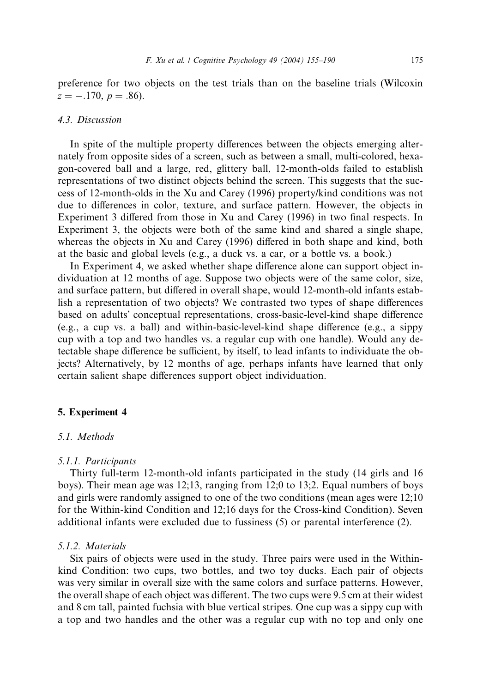preference for two objects on the test trials than on the baseline trials (Wilcoxin  $z = -.170, p = .86$ .

# 4.3. Discussion

In spite of the multiple property differences between the objects emerging alternately from opposite sides of a screen, such as between a small, multi-colored, hexagon-covered ball and a large, red, glittery ball, 12-month-olds failed to establish representations of two distinct objects behind the screen. This suggests that the success of 12-month-olds in the Xu and Carey (1996) property/kind conditions was not due to differences in color, texture, and surface pattern. However, the objects in Experiment 3 differed from those in Xu and Carey (1996) in two final respects. In Experiment 3, the objects were both of the same kind and shared a single shape, whereas the objects in Xu and Carey (1996) differed in both shape and kind, both at the basic and global levels (e.g., a duck vs. a car, or a bottle vs. a book.)

In Experiment 4, we asked whether shape difference alone can support object individuation at 12 months of age. Suppose two objects were of the same color, size, and surface pattern, but differed in overall shape, would 12-month-old infants establish a representation of two objects? We contrasted two types of shape differences based on adults' conceptual representations, cross-basic-level-kind shape difference (e.g., a cup vs. a ball) and within-basic-level-kind shape difference (e.g., a sippy cup with a top and two handles vs. a regular cup with one handle). Would any detectable shape difference be sufficient, by itself, to lead infants to individuate the objects? Alternatively, by 12 months of age, perhaps infants have learned that only certain salient shape differences support object individuation.

## 5. Experiment 4

## 5.1. Methods

#### 5.1.1. Participants

Thirty full-term 12-month-old infants participated in the study (14 girls and 16 boys). Their mean age was 12;13, ranging from 12;0 to 13;2. Equal numbers of boys and girls were randomly assigned to one of the two conditions (mean ages were 12;10 for the Within-kind Condition and 12;16 days for the Cross-kind Condition). Seven additional infants were excluded due to fussiness (5) or parental interference (2).

## 5.1.2. Materials

Six pairs of objects were used in the study. Three pairs were used in the Withinkind Condition: two cups, two bottles, and two toy ducks. Each pair of objects was very similar in overall size with the same colors and surface patterns. However, the overall shape of each object was different. The two cups were 9.5 cm at their widest and 8 cm tall, painted fuchsia with blue vertical stripes. One cup was a sippy cup with a top and two handles and the other was a regular cup with no top and only one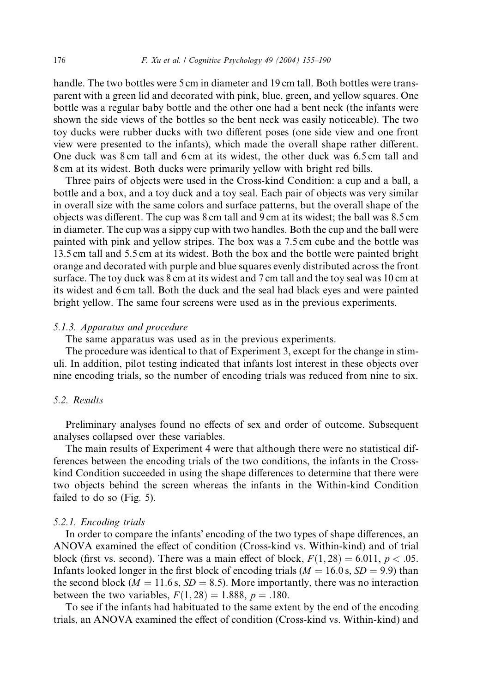handle. The two bottles were 5 cm in diameter and 19 cm tall. Both bottles were transparent with a green lid and decorated with pink, blue, green, and yellow squares. One bottle was a regular baby bottle and the other one had a bent neck (the infants were shown the side views of the bottles so the bent neck was easily noticeable). The two toy ducks were rubber ducks with two different poses (one side view and one front view were presented to the infants), which made the overall shape rather different. One duck was 8 cm tall and 6 cm at its widest, the other duck was 6.5 cm tall and 8 cm at its widest. Both ducks were primarily yellow with bright red bills.

Three pairs of objects were used in the Cross-kind Condition: a cup and a ball, a bottle and a box, and a toy duck and a toy seal. Each pair of objects was very similar in overall size with the same colors and surface patterns, but the overall shape of the objects was different. The cup was 8 cm tall and 9 cm at its widest; the ball was 8.5 cm in diameter. The cup was a sippy cup with two handles. Both the cup and the ball were painted with pink and yellow stripes. The box was a 7.5 cm cube and the bottle was 13.5 cm tall and 5.5 cm at its widest. Both the box and the bottle were painted bright orange and decorated with purple and blue squares evenly distributed across the front surface. The toy duck was 8 cm at its widest and 7 cm tall and the toy seal was 10 cm at its widest and 6 cm tall. Both the duck and the seal had black eyes and were painted bright yellow. The same four screens were used as in the previous experiments.

## 5.1.3. Apparatus and procedure

The same apparatus was used as in the previous experiments.

The procedure was identical to that of Experiment 3, except for the change in stimuli. In addition, pilot testing indicated that infants lost interest in these objects over nine encoding trials, so the number of encoding trials was reduced from nine to six.

#### 5.2. Results

Preliminary analyses found no effects of sex and order of outcome. Subsequent analyses collapsed over these variables.

The main results of Experiment 4 were that although there were no statistical differences between the encoding trials of the two conditions, the infants in the Crosskind Condition succeeded in using the shape differences to determine that there were two objects behind the screen whereas the infants in the Within-kind Condition failed to do so (Fig. 5).

## 5.2.1. Encoding trials

In order to compare the infants' encoding of the two types of shape differences, an ANOVA examined the effect of condition (Cross-kind vs. Within-kind) and of trial block (first vs. second). There was a main effect of block,  $F(1, 28) = 6.011$ ,  $p < .05$ . Infants looked longer in the first block of encoding trials ( $M = 16.0$  s,  $SD = 9.9$ ) than the second block ( $M = 11.6$  s,  $SD = 8.5$ ). More importantly, there was no interaction between the two variables,  $F(1, 28) = 1.888$ ,  $p = .180$ .

To see if the infants had habituated to the same extent by the end of the encoding trials, an ANOVA examined the effect of condition (Cross-kind vs. Within-kind) and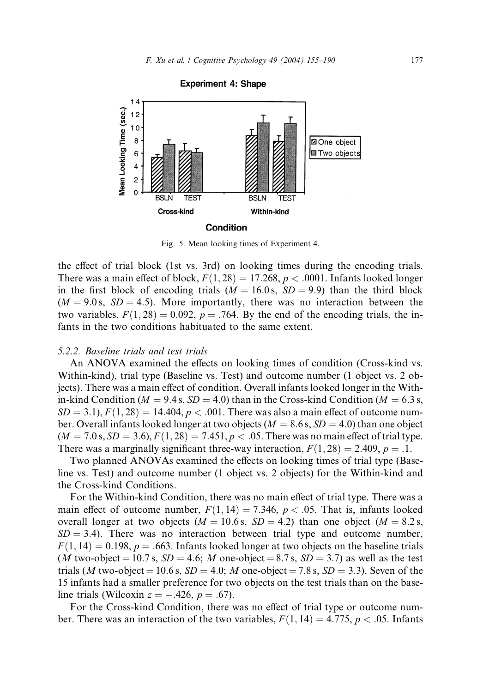

#### **Experiment 4: Shape**

Fig. 5. Mean looking times of Experiment 4.

the effect of trial block (1st vs. 3rd) on looking times during the encoding trials. There was a main effect of block,  $F(1, 28) = 17.268$ ,  $p < .0001$ . Infants looked longer in the first block of encoding trials ( $M = 16.0$  s,  $SD = 9.9$ ) than the third block  $(M = 9.0 \text{ s}, SD = 4.5)$ . More importantly, there was no interaction between the two variables,  $F(1,28) = 0.092$ ,  $p = .764$ . By the end of the encoding trials, the infants in the two conditions habituated to the same extent.

#### 5.2.2. Baseline trials and test trials

An ANOVA examined the effects on looking times of condition (Cross-kind vs. Within-kind), trial type (Baseline vs. Test) and outcome number (1 object vs. 2 objects). There was a main effect of condition. Overall infants looked longer in the Within-kind Condition ( $M = 9.4$  s,  $SD = 4.0$ ) than in the Cross-kind Condition ( $M = 6.3$  s,  $SD = 3.1$ ,  $F(1, 28) = 14.404$ ,  $p < .001$ . There was also a main effect of outcome number. Overall infants looked longer at two objects ( $M = 8.6$  s,  $SD = 4.0$ ) than one object  $(M = 7.0 \text{ s}, SD = 3.6), F(1, 28) = 7.451, p < .05$ . There was no main effect of trial type. There was a marginally significant three-way interaction,  $F(1, 28) = 2.409$ ,  $p = .1$ .

Two planned ANOVAs examined the effects on looking times of trial type (Baseline vs. Test) and outcome number (1 object vs. 2 objects) for the Within-kind and the Cross-kind Conditions.

For the Within-kind Condition, there was no main effect of trial type. There was a main effect of outcome number,  $F(1, 14) = 7.346$ ,  $p < .05$ . That is, infants looked overall longer at two objects ( $M = 10.6$  s,  $SD = 4.2$ ) than one object ( $M = 8.2$  s,  $SD = 3.4$ ). There was no interaction between trial type and outcome number,  $F(1, 14) = 0.198$ ,  $p = .663$ . Infants looked longer at two objects on the baseline trials (*M* two-object = 10.7 s,  $SD = 4.6$ ; *M* one-object = 8.7 s,  $SD = 3.7$ ) as well as the test trials (M two-object = 10.6 s,  $SD = 4.0$ ; M one-object = 7.8 s,  $SD = 3.3$ ). Seven of the 15 infants had a smaller preference for two objects on the test trials than on the baseline trials (Wilcoxin  $z = -.426$ ,  $p = .67$ ).

For the Cross-kind Condition, there was no effect of trial type or outcome number. There was an interaction of the two variables,  $F(1, 14) = 4.775$ ,  $p < .05$ . Infants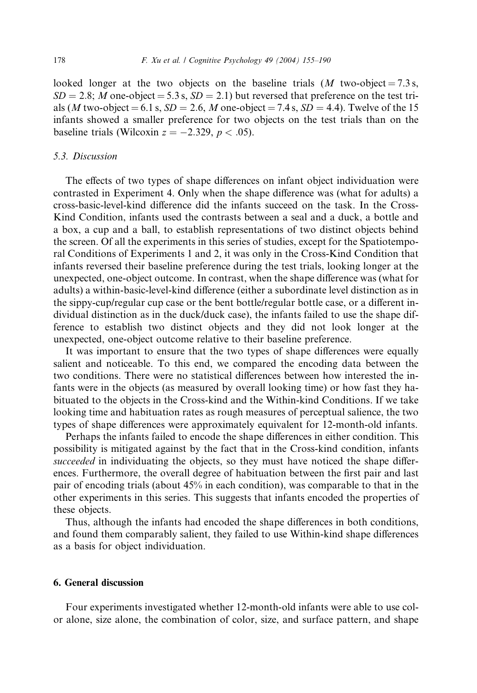looked longer at the two objects on the baseline trials  $(M \text{ two-object} = 7.3 \text{ s},$  $SD = 2.8$ ; M one-object = 5.3 s,  $SD = 2.1$ ) but reversed that preference on the test trials (M two-object  $= 6.1$  s,  $SD = 2.6$ , M one-object  $= 7.4$  s,  $SD = 4.4$ ). Twelve of the 15 infants showed a smaller preference for two objects on the test trials than on the baseline trials (Wilcoxin  $z = -2.329$ ,  $p < .05$ ).

## 5.3. Discussion

The effects of two types of shape differences on infant object individuation were contrasted in Experiment 4. Only when the shape difference was (what for adults) a cross-basic-level-kind difference did the infants succeed on the task. In the Cross-Kind Condition, infants used the contrasts between a seal and a duck, a bottle and a box, a cup and a ball, to establish representations of two distinct objects behind the screen. Of all the experiments in this series of studies, except for the Spatiotemporal Conditions of Experiments 1 and 2, it was only in the Cross-Kind Condition that infants reversed their baseline preference during the test trials, looking longer at the unexpected, one-object outcome. In contrast, when the shape difference was (what for adults) a within-basic-level-kind difference (either a subordinate level distinction as in the sippy-cup/regular cup case or the bent bottle/regular bottle case, or a different individual distinction as in the duck/duck case), the infants failed to use the shape difference to establish two distinct objects and they did not look longer at the unexpected, one-object outcome relative to their baseline preference.

It was important to ensure that the two types of shape differences were equally salient and noticeable. To this end, we compared the encoding data between the two conditions. There were no statistical differences between how interested the infants were in the objects (as measured by overall looking time) or how fast they habituated to the objects in the Cross-kind and the Within-kind Conditions. If we take looking time and habituation rates as rough measures of perceptual salience, the two types of shape differences were approximately equivalent for 12-month-old infants.

Perhaps the infants failed to encode the shape differences in either condition. This possibility is mitigated against by the fact that in the Cross-kind condition, infants succeeded in individuating the objects, so they must have noticed the shape differences. Furthermore, the overall degree of habituation between the first pair and last pair of encoding trials (about 45% in each condition), was comparable to that in the other experiments in this series. This suggests that infants encoded the properties of these objects.

Thus, although the infants had encoded the shape differences in both conditions, and found them comparably salient, they failed to use Within-kind shape differences as a basis for object individuation.

## 6. General discussion

Four experiments investigated whether 12-month-old infants were able to use color alone, size alone, the combination of color, size, and surface pattern, and shape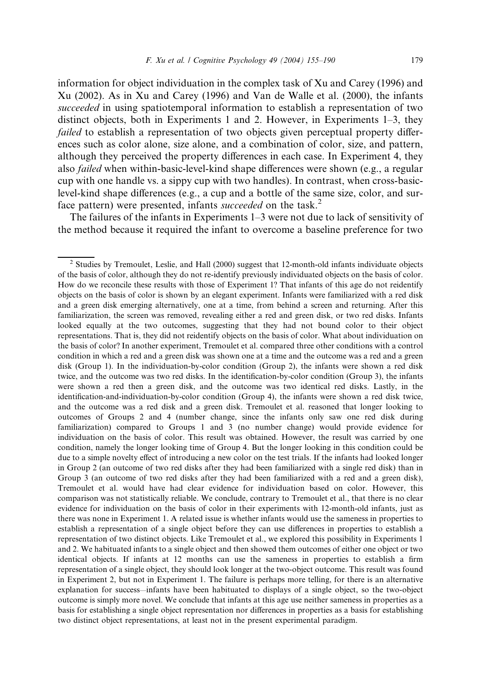information for object individuation in the complex task of Xu and Carey (1996) and Xu (2002). As in Xu and Carey (1996) and Van de Walle et al. (2000), the infants succeeded in using spatiotemporal information to establish a representation of two distinct objects, both in Experiments 1 and 2. However, in Experiments 1–3, they failed to establish a representation of two objects given perceptual property differences such as color alone, size alone, and a combination of color, size, and pattern, although they perceived the property differences in each case. In Experiment 4, they also failed when within-basic-level-kind shape differences were shown (e.g., a regular cup with one handle vs. a sippy cup with two handles). In contrast, when cross-basiclevel-kind shape differences (e.g., a cup and a bottle of the same size, color, and surface pattern) were presented, infants *succeeded* on the task.<sup>2</sup>

The failures of the infants in Experiments 1–3 were not due to lack of sensitivity of the method because it required the infant to overcome a baseline preference for two

<sup>&</sup>lt;sup>2</sup> Studies by Tremoulet, Leslie, and Hall (2000) suggest that 12-month-old infants individuate objects of the basis of color, although they do not re-identify previously individuated objects on the basis of color. How do we reconcile these results with those of Experiment 1? That infants of this age do not reidentify objects on the basis of color is shown by an elegant experiment. Infants were familiarized with a red disk and a green disk emerging alternatively, one at a time, from behind a screen and returning. After this familiarization, the screen was removed, revealing either a red and green disk, or two red disks. Infants looked equally at the two outcomes, suggesting that they had not bound color to their object representations. That is, they did not reidentify objects on the basis of color. What about individuation on the basis of color? In another experiment, Tremoulet et al. compared three other conditions with a control condition in which a red and a green disk was shown one at a time and the outcome was a red and a green disk (Group 1). In the individuation-by-color condition (Group 2), the infants were shown a red disk twice, and the outcome was two red disks. In the identification-by-color condition (Group 3), the infants were shown a red then a green disk, and the outcome was two identical red disks. Lastly, in the identification-and-individuation-by-color condition (Group 4), the infants were shown a red disk twice, and the outcome was a red disk and a green disk. Tremoulet et al. reasoned that longer looking to outcomes of Groups 2 and 4 (number change, since the infants only saw one red disk during familiarization) compared to Groups 1 and 3 (no number change) would provide evidence for individuation on the basis of color. This result was obtained. However, the result was carried by one condition, namely the longer looking time of Group 4. But the longer looking in this condition could be due to a simple novelty effect of introducing a new color on the test trials. If the infants had looked longer in Group 2 (an outcome of two red disks after they had been familiarized with a single red disk) than in Group 3 (an outcome of two red disks after they had been familiarized with a red and a green disk), Tremoulet et al. would have had clear evidence for individuation based on color. However, this comparison was not statistically reliable. We conclude, contrary to Tremoulet et al., that there is no clear evidence for individuation on the basis of color in their experiments with 12-month-old infants, just as there was none in Experiment 1. A related issue is whether infants would use the sameness in properties to establish a representation of a single object before they can use differences in properties to establish a representation of two distinct objects. Like Tremoulet et al., we explored this possibility in Experiments 1 and 2. We habituated infants to a single object and then showed them outcomes of either one object or two identical objects. If infants at 12 months can use the sameness in properties to establish a firm representation of a single object, they should look longer at the two-object outcome. This result was found in Experiment 2, but not in Experiment 1. The failure is perhaps more telling, for there is an alternative explanation for success—infants have been habituated to displays of a single object, so the two-object outcome is simply more novel. We conclude that infants at this age use neither sameness in properties as a basis for establishing a single object representation nor differences in properties as a basis for establishing two distinct object representations, at least not in the present experimental paradigm.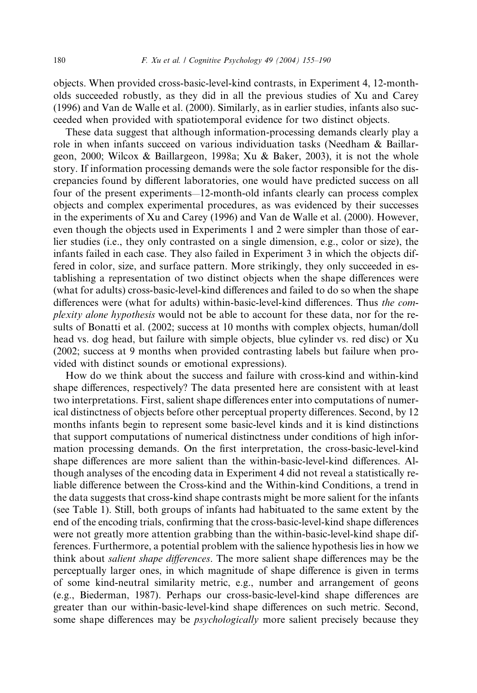objects. When provided cross-basic-level-kind contrasts, in Experiment 4, 12-montholds succeeded robustly, as they did in all the previous studies of Xu and Carey (1996) and Van de Walle et al. (2000). Similarly, as in earlier studies, infants also succeeded when provided with spatiotemporal evidence for two distinct objects.

These data suggest that although information-processing demands clearly play a role in when infants succeed on various individuation tasks (Needham & Baillargeon, 2000; Wilcox & Baillargeon, 1998a; Xu & Baker, 2003), it is not the whole story. If information processing demands were the sole factor responsible for the discrepancies found by different laboratories, one would have predicted success on all four of the present experiments—12-month-old infants clearly can process complex objects and complex experimental procedures, as was evidenced by their successes in the experiments of Xu and Carey (1996) and Van de Walle et al. (2000). However, even though the objects used in Experiments 1 and 2 were simpler than those of earlier studies (i.e., they only contrasted on a single dimension, e.g., color or size), the infants failed in each case. They also failed in Experiment 3 in which the objects differed in color, size, and surface pattern. More strikingly, they only succeeded in establishing a representation of two distinct objects when the shape differences were (what for adults) cross-basic-level-kind differences and failed to do so when the shape differences were (what for adults) within-basic-level-kind differences. Thus the complexity alone hypothesis would not be able to account for these data, nor for the results of Bonatti et al. (2002; success at 10 months with complex objects, human/doll head vs. dog head, but failure with simple objects, blue cylinder vs. red disc) or Xu (2002; success at 9 months when provided contrasting labels but failure when provided with distinct sounds or emotional expressions).

How do we think about the success and failure with cross-kind and within-kind shape differences, respectively? The data presented here are consistent with at least two interpretations. First, salient shape differences enter into computations of numerical distinctness of objects before other perceptual property differences. Second, by 12 months infants begin to represent some basic-level kinds and it is kind distinctions that support computations of numerical distinctness under conditions of high information processing demands. On the first interpretation, the cross-basic-level-kind shape differences are more salient than the within-basic-level-kind differences. Although analyses of the encoding data in Experiment 4 did not reveal a statistically reliable difference between the Cross-kind and the Within-kind Conditions, a trend in the data suggests that cross-kind shape contrasts might be more salient for the infants (see Table 1). Still, both groups of infants had habituated to the same extent by the end of the encoding trials, confirming that the cross-basic-level-kind shape differences were not greatly more attention grabbing than the within-basic-level-kind shape differences. Furthermore, a potential problem with the salience hypothesis lies in how we think about salient shape differences. The more salient shape differences may be the perceptually larger ones, in which magnitude of shape difference is given in terms of some kind-neutral similarity metric, e.g., number and arrangement of geons (e.g., Biederman, 1987). Perhaps our cross-basic-level-kind shape differences are greater than our within-basic-level-kind shape differences on such metric. Second, some shape differences may be *psychologically* more salient precisely because they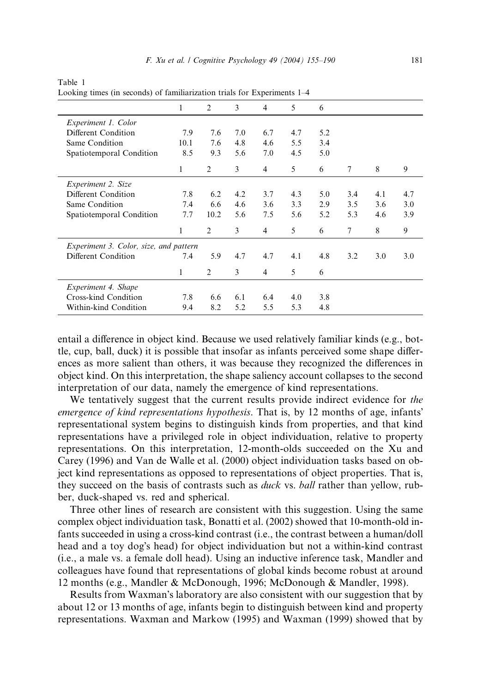|                                        | 1    | 2    | 3   | $\overline{4}$ | 5   | 6   |     |     |     |
|----------------------------------------|------|------|-----|----------------|-----|-----|-----|-----|-----|
| Experiment 1. Color                    |      |      |     |                |     |     |     |     |     |
| Different Condition                    | 7.9  | 7.6  | 7.0 | 6.7            | 4.7 | 5.2 |     |     |     |
| Same Condition                         | 10.1 | 7.6  | 4.8 | 4.6            | 5.5 | 3.4 |     |     |     |
| Spatiotemporal Condition               | 8.5  | 9.3  | 5.6 | 7.0            | 4.5 | 5.0 |     |     |     |
|                                        | 1    | 2    | 3   | $\overline{4}$ | 5   | 6   | 7   | 8   | 9   |
| Experiment 2. Size                     |      |      |     |                |     |     |     |     |     |
| Different Condition                    | 7.8  | 6.2  | 4.2 | 3.7            | 4.3 | 5.0 | 3.4 | 4.1 | 4.7 |
| Same Condition                         | 7.4  | 6.6  | 4.6 | 3.6            | 3.3 | 2.9 | 3.5 | 3.6 | 3.0 |
| Spatiotemporal Condition               | 7.7  | 10.2 | 5.6 | 7.5            | 5.6 | 5.2 | 5.3 | 4.6 | 3.9 |
|                                        | 1    | 2    | 3   | $\overline{4}$ | 5   | 6   | 7   | 8   | 9   |
| Experiment 3. Color, size, and pattern |      |      |     |                |     |     |     |     |     |
| Different Condition                    | 7.4  | 5.9  | 4.7 | 4.7            | 4.1 | 4.8 | 3.2 | 3.0 | 3.0 |
|                                        | 1    | 2    | 3   | $\overline{4}$ | 5   | 6   |     |     |     |
| Experiment 4. Shape                    |      |      |     |                |     |     |     |     |     |
| Cross-kind Condition                   | 7.8  | 6.6  | 6.1 | 6.4            | 4.0 | 3.8 |     |     |     |
| Within-kind Condition                  | 9.4  | 8.2  | 5.2 | 5.5            | 5.3 | 4.8 |     |     |     |

Table 1

Looking times (in seconds) of familiarization trials for Experiments 1–4

entail a difference in object kind. Because we used relatively familiar kinds (e.g., bottle, cup, ball, duck) it is possible that insofar as infants perceived some shape differences as more salient than others, it was because they recognized the differences in object kind. On this interpretation, the shape saliency account collapses to the second interpretation of our data, namely the emergence of kind representations.

We tentatively suggest that the current results provide indirect evidence for the emergence of kind representations hypothesis. That is, by 12 months of age, infants' representational system begins to distinguish kinds from properties, and that kind representations have a privileged role in object individuation, relative to property representations. On this interpretation, 12-month-olds succeeded on the Xu and Carey (1996) and Van de Walle et al. (2000) object individuation tasks based on object kind representations as opposed to representations of object properties. That is, they succeed on the basis of contrasts such as duck vs. ball rather than yellow, rubber, duck-shaped vs. red and spherical.

Three other lines of research are consistent with this suggestion. Using the same complex object individuation task, Bonatti et al. (2002) showed that 10-month-old infants succeeded in using a cross-kind contrast (i.e., the contrast between a human/doll head and a toy dog's head) for object individuation but not a within-kind contrast (i.e., a male vs. a female doll head). Using an inductive inference task, Mandler and colleagues have found that representations of global kinds become robust at around 12 months (e.g., Mandler & McDonough, 1996; McDonough & Mandler, 1998).

Results from Waxman's laboratory are also consistent with our suggestion that by about 12 or 13 months of age, infants begin to distinguish between kind and property representations. Waxman and Markow (1995) and Waxman (1999) showed that by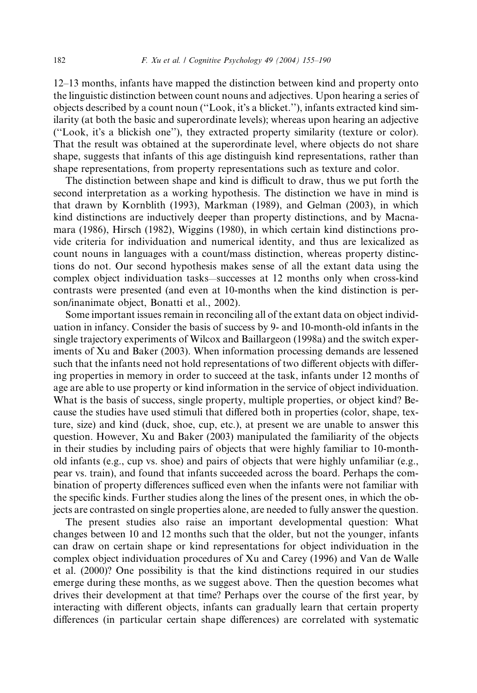12–13 months, infants have mapped the distinction between kind and property onto the linguistic distinction between count nouns and adjectives. Upon hearing a series of objects described by a count noun ("Look, it's a blicket."), infants extracted kind similarity (at both the basic and superordinate levels); whereas upon hearing an adjective ("Look, it's a blickish one"), they extracted property similarity (texture or color). That the result was obtained at the superordinate level, where objects do not share shape, suggests that infants of this age distinguish kind representations, rather than shape representations, from property representations such as texture and color.

The distinction between shape and kind is difficult to draw, thus we put forth the second interpretation as a working hypothesis. The distinction we have in mind is that drawn by Kornblith (1993), Markman (1989), and Gelman (2003), in which kind distinctions are inductively deeper than property distinctions, and by Macnamara (1986), Hirsch (1982), Wiggins (1980), in which certain kind distinctions provide criteria for individuation and numerical identity, and thus are lexicalized as count nouns in languages with a count/mass distinction, whereas property distinctions do not. Our second hypothesis makes sense of all the extant data using the complex object individuation tasks—successes at 12 months only when cross-kind contrasts were presented (and even at 10-months when the kind distinction is person/inanimate object, Bonatti et al., 2002).

Some important issues remain in reconciling all of the extant data on object individuation in infancy. Consider the basis of success by 9- and 10-month-old infants in the single trajectory experiments of Wilcox and Baillargeon (1998a) and the switch experiments of Xu and Baker (2003). When information processing demands are lessened such that the infants need not hold representations of two different objects with differing properties in memory in order to succeed at the task, infants under 12 months of age are able to use property or kind information in the service of object individuation. What is the basis of success, single property, multiple properties, or object kind? Because the studies have used stimuli that differed both in properties (color, shape, texture, size) and kind (duck, shoe, cup, etc.), at present we are unable to answer this question. However, Xu and Baker (2003) manipulated the familiarity of the objects in their studies by including pairs of objects that were highly familiar to 10-monthold infants (e.g., cup vs. shoe) and pairs of objects that were highly unfamiliar (e.g., pear vs. train), and found that infants succeeded across the board. Perhaps the combination of property differences sufficed even when the infants were not familiar with the specific kinds. Further studies along the lines of the present ones, in which the objects are contrasted on single properties alone, are needed to fully answer the question.

The present studies also raise an important developmental question: What changes between 10 and 12 months such that the older, but not the younger, infants can draw on certain shape or kind representations for object individuation in the complex object individuation procedures of Xu and Carey (1996) and Van de Walle et al. (2000)? One possibility is that the kind distinctions required in our studies emerge during these months, as we suggest above. Then the question becomes what drives their development at that time? Perhaps over the course of the first year, by interacting with different objects, infants can gradually learn that certain property differences (in particular certain shape differences) are correlated with systematic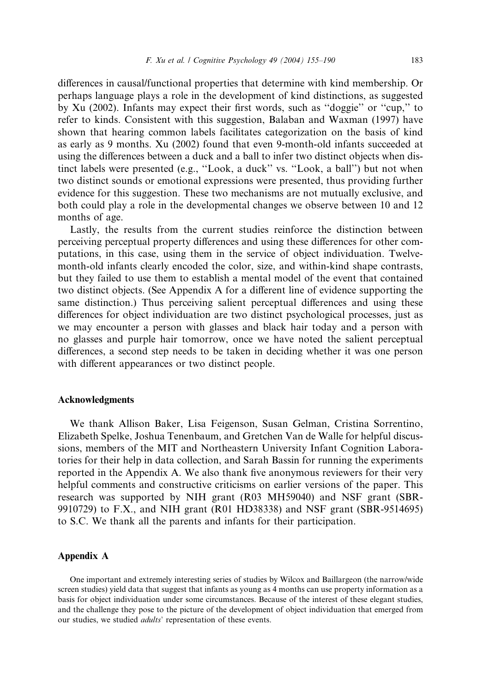differences in causal/functional properties that determine with kind membership. Or perhaps language plays a role in the development of kind distinctions, as suggested by Xu (2002). Infants may expect their first words, such as ''doggie'' or ''cup,'' to refer to kinds. Consistent with this suggestion, Balaban and Waxman (1997) have shown that hearing common labels facilitates categorization on the basis of kind as early as 9 months. Xu (2002) found that even 9-month-old infants succeeded at using the differences between a duck and a ball to infer two distinct objects when distinct labels were presented (e.g., ''Look, a duck'' vs. ''Look, a ball'') but not when two distinct sounds or emotional expressions were presented, thus providing further evidence for this suggestion. These two mechanisms are not mutually exclusive, and both could play a role in the developmental changes we observe between 10 and 12 months of age.

Lastly, the results from the current studies reinforce the distinction between perceiving perceptual property differences and using these differences for other computations, in this case, using them in the service of object individuation. Twelvemonth-old infants clearly encoded the color, size, and within-kind shape contrasts, but they failed to use them to establish a mental model of the event that contained two distinct objects. (See Appendix A for a different line of evidence supporting the same distinction.) Thus perceiving salient perceptual differences and using these differences for object individuation are two distinct psychological processes, just as we may encounter a person with glasses and black hair today and a person with no glasses and purple hair tomorrow, once we have noted the salient perceptual differences, a second step needs to be taken in deciding whether it was one person with different appearances or two distinct people.

#### Acknowledgments

We thank Allison Baker, Lisa Feigenson, Susan Gelman, Cristina Sorrentino, Elizabeth Spelke, Joshua Tenenbaum, and Gretchen Van de Walle for helpful discussions, members of the MIT and Northeastern University Infant Cognition Laboratories for their help in data collection, and Sarah Bassin for running the experiments reported in the Appendix A. We also thank five anonymous reviewers for their very helpful comments and constructive criticisms on earlier versions of the paper. This research was supported by NIH grant (R03 MH59040) and NSF grant (SBR-9910729) to F.X., and NIH grant (R01 HD38338) and NSF grant (SBR-9514695) to S.C. We thank all the parents and infants for their participation.

## Appendix A

One important and extremely interesting series of studies by Wilcox and Baillargeon (the narrow/wide screen studies) yield data that suggest that infants as young as 4 months can use property information as a basis for object individuation under some circumstances. Because of the interest of these elegant studies, and the challenge they pose to the picture of the development of object individuation that emerged from our studies, we studied adults' representation of these events.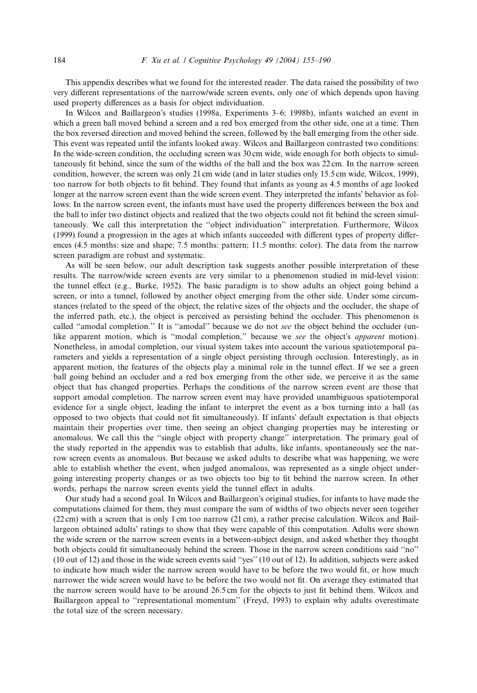This appendix describes what we found for the interested reader. The data raised the possibility of two very different representations of the narrow/wide screen events, only one of which depends upon having used property differences as a basis for object individuation.

In Wilcox and Baillargeon's studies (1998a, Experiments 3–6; 1998b), infants watched an event in which a green ball moved behind a screen and a red box emerged from the other side, one at a time. Then the box reversed direction and moved behind the screen, followed by the ball emerging from the other side. This event was repeated until the infants looked away. Wilcox and Baillargeon contrasted two conditions: In the wide-screen condition, the occluding screen was 30 cm wide, wide enough for both objects to simultaneously fit behind, since the sum of the widths of the ball and the box was 22 cm. In the narrow screen condition, however, the screen was only 21 cm wide (and in later studies only 15.5 cm wide, Wilcox, 1999), too narrow for both objects to fit behind. They found that infants as young as 4.5 months of age looked longer at the narrow screen event than the wide screen event. They interpreted the infants' behavior as follows: In the narrow screen event, the infants must have used the property differences between the box and the ball to infer two distinct objects and realized that the two objects could not fit behind the screen simultaneously. We call this interpretation the ''object individuation'' interpretation. Furthermore, Wilcox (1999) found a progression in the ages at which infants succeeded with different types of property differences (4.5 months: size and shape; 7.5 months: pattern; 11.5 months: color). The data from the narrow screen paradigm are robust and systematic.

As will be seen below, our adult description task suggests another possible interpretation of these results. The narrow/wide screen events are very similar to a phenomenon studied in mid-level vision: the tunnel effect (e.g., Burke, 1952). The basic paradigm is to show adults an object going behind a screen, or into a tunnel, followed by another object emerging from the other side. Under some circumstances (related to the speed of the object, the relative sizes of the objects and the occluder, the shape of the inferred path, etc.), the object is perceived as persisting behind the occluder. This phenomenon is called "amodal completion." It is "amodal" because we do not see the object behind the occluder (unlike apparent motion, which is "modal completion," because we see the object's apparent motion). Nonetheless, in amodal completion, our visual system takes into account the various spatiotemporal parameters and yields a representation of a single object persisting through occlusion. Interestingly, as in apparent motion, the features of the objects play a minimal role in the tunnel effect. If we see a green ball going behind an occluder and a red box emerging from the other side, we perceive it as the same object that has changed properties. Perhaps the conditions of the narrow screen event are those that support amodal completion. The narrow screen event may have provided unambiguous spatiotemporal evidence for a single object, leading the infant to interpret the event as a box turning into a ball (as opposed to two objects that could not fit simultaneously). If infants default expectation is that objects maintain their properties over time, then seeing an object changing properties may be interesting or anomalous. We call this the ''single object with property change'' interpretation. The primary goal of the study reported in the appendix was to establish that adults, like infants, spontaneously see the narrow screen events as anomalous. But because we asked adults to describe what was happening, we were able to establish whether the event, when judged anomalous, was represented as a single object undergoing interesting property changes or as two objects too big to fit behind the narrow screen. In other words, perhaps the narrow screen events yield the tunnel effect in adults.

Our study had a second goal. In Wilcox and Baillargeon's original studies, for infants to have made the computations claimed for them, they must compare the sum of widths of two objects never seen together (22 cm) with a screen that is only 1 cm too narrow (21 cm), a rather precise calculation. Wilcox and Baillargeon obtained adults' ratings to show that they were capable of this computation. Adults were shown the wide screen or the narrow screen events in a between-subject design, and asked whether they thought both objects could fit simultaneously behind the screen. Those in the narrow screen conditions said ''no'' (10 out of 12) and those in the wide screen events said ''yes'' (10 out of 12). In addition, subjects were asked to indicate how much wider the narrow screen would have to be before the two would fit, or how much narrower the wide screen would have to be before the two would not fit. On average they estimated that the narrow screen would have to be around 26.5 cm for the objects to just fit behind them. Wilcox and Baillargeon appeal to ''representational momentum'' (Freyd, 1993) to explain why adults overestimate the total size of the screen necessary.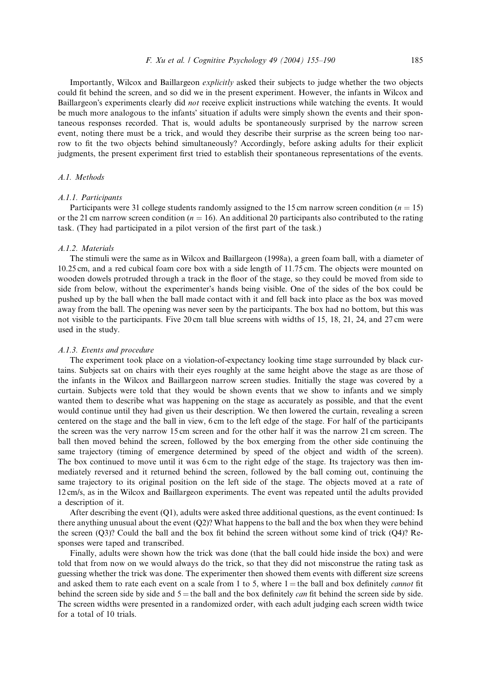Importantly, Wilcox and Baillargeon *explicitly* asked their subjects to judge whether the two objects could fit behind the screen, and so did we in the present experiment. However, the infants in Wilcox and Baillargeon's experiments clearly did *not* receive explicit instructions while watching the events. It would be much more analogous to the infants' situation if adults were simply shown the events and their spontaneous responses recorded. That is, would adults be spontaneously surprised by the narrow screen event, noting there must be a trick, and would they describe their surprise as the screen being too narrow to fit the two objects behind simultaneously? Accordingly, before asking adults for their explicit judgments, the present experiment first tried to establish their spontaneous representations of the events.

#### A.1. Methods

#### A.1.1. Participants

Participants were 31 college students randomly assigned to the 15 cm narrow screen condition ( $n = 15$ ) or the 21 cm narrow screen condition ( $n = 16$ ). An additional 20 participants also contributed to the rating task. (They had participated in a pilot version of the first part of the task.)

#### A.1.2. Materials

The stimuli were the same as in Wilcox and Baillargeon (1998a), a green foam ball, with a diameter of 10.25 cm, and a red cubical foam core box with a side length of 11.75 cm. The objects were mounted on wooden dowels protruded through a track in the floor of the stage, so they could be moved from side to side from below, without the experimenter's hands being visible. One of the sides of the box could be pushed up by the ball when the ball made contact with it and fell back into place as the box was moved away from the ball. The opening was never seen by the participants. The box had no bottom, but this was not visible to the participants. Five 20 cm tall blue screens with widths of 15, 18, 21, 24, and 27 cm were used in the study.

#### A.1.3. Events and procedure

The experiment took place on a violation-of-expectancy looking time stage surrounded by black curtains. Subjects sat on chairs with their eyes roughly at the same height above the stage as are those of the infants in the Wilcox and Baillargeon narrow screen studies. Initially the stage was covered by a curtain. Subjects were told that they would be shown events that we show to infants and we simply wanted them to describe what was happening on the stage as accurately as possible, and that the event would continue until they had given us their description. We then lowered the curtain, revealing a screen centered on the stage and the ball in view, 6 cm to the left edge of the stage. For half of the participants the screen was the very narrow 15 cm screen and for the other half it was the narrow 21 cm screen. The ball then moved behind the screen, followed by the box emerging from the other side continuing the same trajectory (timing of emergence determined by speed of the object and width of the screen). The box continued to move until it was 6 cm to the right edge of the stage. Its trajectory was then immediately reversed and it returned behind the screen, followed by the ball coming out, continuing the same trajectory to its original position on the left side of the stage. The objects moved at a rate of 12 cm/s, as in the Wilcox and Baillargeon experiments. The event was repeated until the adults provided a description of it.

After describing the event (Q1), adults were asked three additional questions, as the event continued: Is there anything unusual about the event (Q2)? What happens to the ball and the box when they were behind the screen (Q3)? Could the ball and the box fit behind the screen without some kind of trick (Q4)? Responses were taped and transcribed.

Finally, adults were shown how the trick was done (that the ball could hide inside the box) and were told that from now on we would always do the trick, so that they did not misconstrue the rating task as guessing whether the trick was done. The experimenter then showed them events with different size screens and asked them to rate each event on a scale from 1 to 5, where  $1 =$  the ball and box definitely *cannot* fit behind the screen side by side and  $5 =$  the ball and the box definitely *can* fit behind the screen side by side. The screen widths were presented in a randomized order, with each adult judging each screen width twice for a total of 10 trials.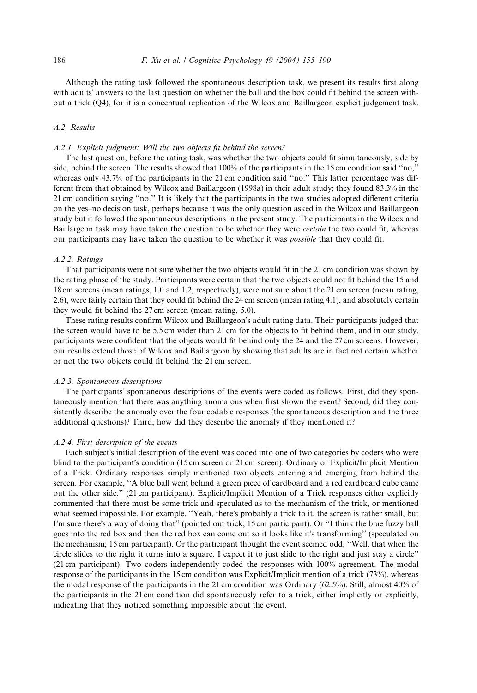Although the rating task followed the spontaneous description task, we present its results first along with adults' answers to the last question on whether the ball and the box could fit behind the screen without a trick (Q4), for it is a conceptual replication of the Wilcox and Baillargeon explicit judgement task.

#### A.2. Results

#### A.2.1. Explicit judgment: Will the two objects fit behind the screen?

The last question, before the rating task, was whether the two objects could fit simultaneously, side by side, behind the screen. The results showed that 100% of the participants in the 15 cm condition said ''no,'' whereas only 43.7% of the participants in the 21 cm condition said "no." This latter percentage was different from that obtained by Wilcox and Baillargeon (1998a) in their adult study; they found 83.3% in the 21 cm condition saying ''no.'' It is likely that the participants in the two studies adopted different criteria on the yes–no decision task, perhaps because it was the only question asked in the Wilcox and Baillargeon study but it followed the spontaneous descriptions in the present study. The participants in the Wilcox and Baillargeon task may have taken the question to be whether they were *certain* the two could fit, whereas our participants may have taken the question to be whether it was possible that they could fit.

#### A.2.2. Ratings

That participants were not sure whether the two objects would fit in the 21 cm condition was shown by the rating phase of the study. Participants were certain that the two objects could not fit behind the 15 and 18 cm screens (mean ratings, 1.0 and 1.2, respectively), were not sure about the 21 cm screen (mean rating, 2.6), were fairly certain that they could fit behind the 24 cm screen (mean rating 4.1), and absolutely certain they would fit behind the 27 cm screen (mean rating, 5.0).

These rating results confirm Wilcox and Baillargeon's adult rating data. Their participants judged that the screen would have to be 5.5 cm wider than 21 cm for the objects to fit behind them, and in our study, participants were confident that the objects would fit behind only the 24 and the 27 cm screens. However, our results extend those of Wilcox and Baillargeon by showing that adults are in fact not certain whether or not the two objects could fit behind the 21 cm screen.

#### A.2.3. Spontaneous descriptions

The participants' spontaneous descriptions of the events were coded as follows. First, did they spontaneously mention that there was anything anomalous when first shown the event? Second, did they consistently describe the anomaly over the four codable responses (the spontaneous description and the three additional questions)? Third, how did they describe the anomaly if they mentioned it?

#### A.2.4. First description of the events

Each subject's initial description of the event was coded into one of two categories by coders who were blind to the participant's condition (15 cm screen or 21 cm screen): Ordinary or Explicit/Implicit Mention of a Trick. Ordinary responses simply mentioned two objects entering and emerging from behind the screen. For example, ''A blue ball went behind a green piece of cardboard and a red cardboard cube came out the other side.'' (21 cm participant). Explicit/Implicit Mention of a Trick responses either explicitly commented that there must be some trick and speculated as to the mechanism of the trick, or mentioned what seemed impossible. For example, "Yeah, there's probably a trick to it, the screen is rather small, but I'm sure there's a way of doing that" (pointed out trick; 15 cm participant). Or "I think the blue fuzzy ball goes into the red box and then the red box can come out so it looks like it's transforming'' (speculated on the mechanism; 15 cm participant). Or the participant thought the event seemed odd, ''Well, that when the circle slides to the right it turns into a square. I expect it to just slide to the right and just stay a circle'' (21 cm participant). Two coders independently coded the responses with 100% agreement. The modal response of the participants in the 15 cm condition was Explicit/Implicit mention of a trick (73%), whereas the modal response of the participants in the 21 cm condition was Ordinary (62.5%). Still, almost 40% of the participants in the 21 cm condition did spontaneously refer to a trick, either implicitly or explicitly, indicating that they noticed something impossible about the event.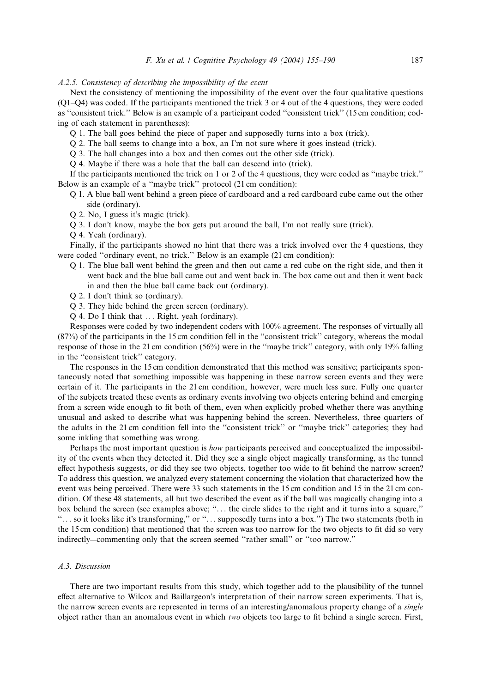A.2.5. Consistency of describing the impossibility of the event

Next the consistency of mentioning the impossibility of the event over the four qualitative questions (Q1–Q4) was coded. If the participants mentioned the trick 3 or 4 out of the 4 questions, they were coded as ''consistent trick.'' Below is an example of a participant coded ''consistent trick'' (15 cm condition; coding of each statement in parentheses):

Q 1. The ball goes behind the piece of paper and supposedly turns into a box (trick).

Q 2. The ball seems to change into a box, an Im not sure where it goes instead (trick).

Q 3. The ball changes into a box and then comes out the other side (trick).

Q 4. Maybe if there was a hole that the ball can descend into (trick).

If the participants mentioned the trick on 1 or 2 of the 4 questions, they were coded as ''maybe trick.'' Below is an example of a ''maybe trick'' protocol (21 cm condition):

Q 1. A blue ball went behind a green piece of cardboard and a red cardboard cube came out the other side (ordinary).

- Q 2. No, I guess it's magic (trick).
- Q 3. I don't know, maybe the box gets put around the ball, I'm not really sure (trick).

Q 4. Yeah (ordinary).

Finally, if the participants showed no hint that there was a trick involved over the 4 questions, they were coded ''ordinary event, no trick.'' Below is an example (21 cm condition):

Q 1. The blue ball went behind the green and then out came a red cube on the right side, and then it went back and the blue ball came out and went back in. The box came out and then it went back in and then the blue ball came back out (ordinary).

 $Q$  2. I don't think so (ordinary).

- Q 3. They hide behind the green screen (ordinary).
- Q 4. Do I think that ... Right, yeah (ordinary).

Responses were coded by two independent coders with 100% agreement. The responses of virtually all (87%) of the participants in the 15 cm condition fell in the ''consistent trick'' category, whereas the modal response of those in the 21 cm condition (56%) were in the ''maybe trick'' category, with only 19% falling in the ''consistent trick'' category.

The responses in the 15 cm condition demonstrated that this method was sensitive; participants spontaneously noted that something impossible was happening in these narrow screen events and they were certain of it. The participants in the 21 cm condition, however, were much less sure. Fully one quarter of the subjects treated these events as ordinary events involving two objects entering behind and emerging from a screen wide enough to fit both of them, even when explicitly probed whether there was anything unusual and asked to describe what was happening behind the screen. Nevertheless, three quarters of the adults in the 21 cm condition fell into the ''consistent trick'' or ''maybe trick'' categories; they had some inkling that something was wrong.

Perhaps the most important question is how participants perceived and conceptualized the impossibility of the events when they detected it. Did they see a single object magically transforming, as the tunnel effect hypothesis suggests, or did they see two objects, together too wide to fit behind the narrow screen? To address this question, we analyzed every statement concerning the violation that characterized how the event was being perceived. There were 33 such statements in the 15 cm condition and 15 in the 21 cm condition. Of these 48 statements, all but two described the event as if the ball was magically changing into a box behind the screen (see examples above; "... the circle slides to the right and it turns into a square," "... so it looks like it's transforming," or "... supposedly turns into a box.") The two statements (both in the 15 cm condition) that mentioned that the screen was too narrow for the two objects to fit did so very indirectly—commenting only that the screen seemed ''rather small'' or ''too narrow.''

#### A.3. Discussion

There are two important results from this study, which together add to the plausibility of the tunnel effect alternative to Wilcox and Baillargeon's interpretation of their narrow screen experiments. That is, the narrow screen events are represented in terms of an interesting/anomalous property change of a *single* object rather than an anomalous event in which two objects too large to fit behind a single screen. First,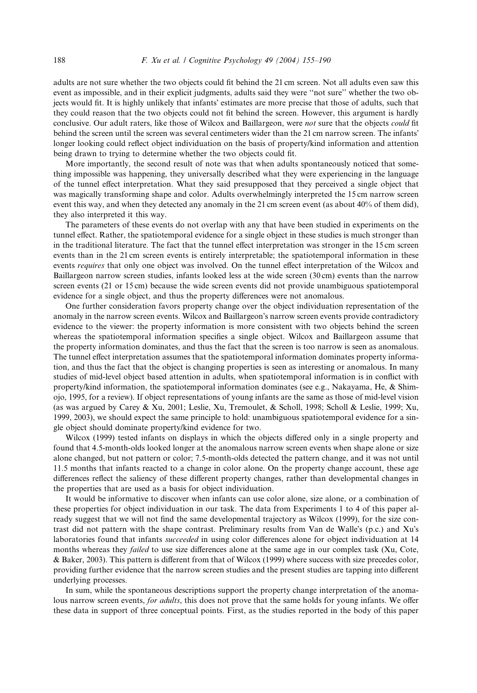adults are not sure whether the two objects could fit behind the 21 cm screen. Not all adults even saw this event as impossible, and in their explicit judgments, adults said they were ''not sure'' whether the two objects would fit. It is highly unlikely that infants' estimates are more precise that those of adults, such that they could reason that the two objects could not fit behind the screen. However, this argument is hardly conclusive. Our adult raters, like those of Wilcox and Baillargeon, were not sure that the objects could fit behind the screen until the screen was several centimeters wider than the 21 cm narrow screen. The infants' longer looking could reflect object individuation on the basis of property/kind information and attention being drawn to trying to determine whether the two objects could fit.

More importantly, the second result of note was that when adults spontaneously noticed that something impossible was happening, they universally described what they were experiencing in the language of the tunnel effect interpretation. What they said presupposed that they perceived a single object that was magically transforming shape and color. Adults overwhelmingly interpreted the 15 cm narrow screen event this way, and when they detected any anomaly in the 21 cm screen event (as about 40% of them did), they also interpreted it this way.

The parameters of these events do not overlap with any that have been studied in experiments on the tunnel effect. Rather, the spatiotemporal evidence for a single object in these studies is much stronger than in the traditional literature. The fact that the tunnel effect interpretation was stronger in the 15 cm screen events than in the 21 cm screen events is entirely interpretable; the spatiotemporal information in these events *requires* that only one object was involved. On the tunnel effect interpretation of the Wilcox and Baillargeon narrow screen studies, infants looked less at the wide screen (30 cm) events than the narrow screen events (21 or 15 cm) because the wide screen events did not provide unambiguous spatiotemporal evidence for a single object, and thus the property differences were not anomalous.

One further consideration favors property change over the object individuation representation of the anomaly in the narrow screen events. Wilcox and Baillargeon's narrow screen events provide contradictory evidence to the viewer: the property information is more consistent with two objects behind the screen whereas the spatiotemporal information specifies a single object. Wilcox and Baillargeon assume that the property information dominates, and thus the fact that the screen is too narrow is seen as anomalous. The tunnel effect interpretation assumes that the spatiotemporal information dominates property information, and thus the fact that the object is changing properties is seen as interesting or anomalous. In many studies of mid-level object based attention in adults, when spatiotemporal information is in conflict with property/kind information, the spatiotemporal information dominates (see e.g., Nakayama, He, & Shimojo, 1995, for a review). If object representations of young infants are the same as those of mid-level vision (as was argued by Carey & Xu, 2001; Leslie, Xu, Tremoulet, & Scholl, 1998; Scholl & Leslie, 1999; Xu, 1999, 2003), we should expect the same principle to hold: unambiguous spatiotemporal evidence for a single object should dominate property/kind evidence for two.

Wilcox (1999) tested infants on displays in which the objects differed only in a single property and found that 4.5-month-olds looked longer at the anomalous narrow screen events when shape alone or size alone changed, but not pattern or color; 7.5-month-olds detected the pattern change, and it was not until 11.5 months that infants reacted to a change in color alone. On the property change account, these age differences reflect the saliency of these different property changes, rather than developmental changes in the properties that are used as a basis for object individuation.

It would be informative to discover when infants can use color alone, size alone, or a combination of these properties for object individuation in our task. The data from Experiments 1 to 4 of this paper already suggest that we will not find the same developmental trajectory as Wilcox (1999), for the size contrast did not pattern with the shape contrast. Preliminary results from Van de Walle's (p.c.) and Xu's laboratories found that infants *succeeded* in using color differences alone for object individuation at 14 months whereas they *failed* to use size differences alone at the same age in our complex task (Xu, Cote, & Baker, 2003). This pattern is different from that of Wilcox (1999) where success with size precedes color, providing further evidence that the narrow screen studies and the present studies are tapping into different underlying processes.

In sum, while the spontaneous descriptions support the property change interpretation of the anomalous narrow screen events, for adults, this does not prove that the same holds for young infants. We offer these data in support of three conceptual points. First, as the studies reported in the body of this paper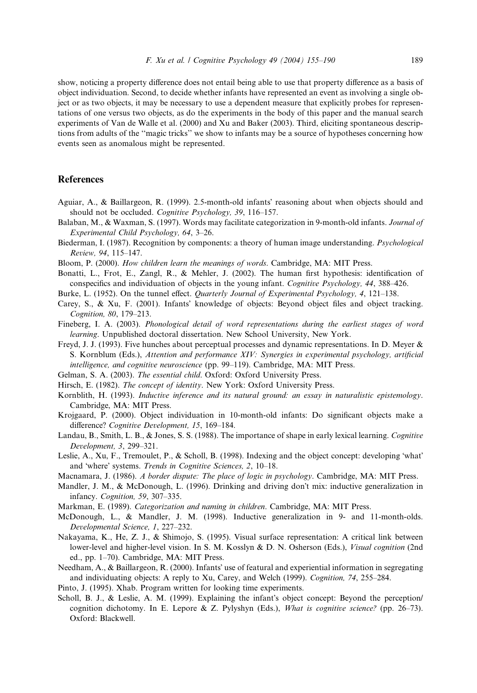show, noticing a property difference does not entail being able to use that property difference as a basis of object individuation. Second, to decide whether infants have represented an event as involving a single object or as two objects, it may be necessary to use a dependent measure that explicitly probes for representations of one versus two objects, as do the experiments in the body of this paper and the manual search experiments of Van de Walle et al. (2000) and Xu and Baker (2003). Third, eliciting spontaneous descriptions from adults of the ''magic tricks'' we show to infants may be a source of hypotheses concerning how events seen as anomalous might be represented.

## References

- Aguiar, A., & Baillargeon, R. (1999). 2.5-month-old infants reasoning about when objects should and should not be occluded. Cognitive Psychology, 39, 116-157.
- Balaban, M., & Waxman, S. (1997). Words may facilitate categorization in 9-month-old infants. Journal of Experimental Child Psychology, 64, 3–26.
- Biederman, I. (1987). Recognition by components: a theory of human image understanding. *Psychological* Review, 94, 115–147.
- Bloom, P. (2000). How children learn the meanings of words. Cambridge, MA: MIT Press.
- Bonatti, L., Frot, E., Zangl, R., & Mehler, J. (2002). The human first hypothesis: identification of conspecifics and individuation of objects in the young infant. Cognitive Psychology, 44, 388–426.
- Burke, L. (1952). On the tunnel effect. Quarterly Journal of Experimental Psychology, 4, 121–138.
- Carey, S., & Xu, F. (2001). Infants' knowledge of objects: Beyond object files and object tracking. Cognition, 80, 179–213.
- Fineberg, I. A. (2003). Phonological detail of word representations during the earliest stages of word learning. Unpublished doctoral dissertation. New School University, New York.
- Freyd, J. J. (1993). Five hunches about perceptual processes and dynamic representations. In D. Meyer & S. Kornblum (Eds.), Attention and performance XIV: Synergies in experimental psychology, artificial intelligence, and cognitive neuroscience (pp. 99–119). Cambridge, MA: MIT Press.
- Gelman, S. A. (2003). The essential child. Oxford: Oxford University Press.
- Hirsch, E. (1982). The concept of identity. New York: Oxford University Press.
- Kornblith, H. (1993). Inductive inference and its natural ground: an essay in naturalistic epistemology. Cambridge, MA: MIT Press.
- Krojgaard, P. (2000). Object individuation in 10-month-old infants: Do significant objects make a difference? Cognitive Development, 15, 169–184.
- Landau, B., Smith, L. B., & Jones, S. S. (1988). The importance of shape in early lexical learning. Cognitive Development, 3, 299–321.
- Leslie, A., Xu, F., Tremoulet, P., & Scholl, B. (1998). Indexing and the object concept: developing 'what' and 'where' systems. Trends in Cognitive Sciences, 2, 10-18.
- Macnamara, J. (1986). A border dispute: The place of logic in psychology. Cambridge, MA: MIT Press.
- Mandler, J. M., & McDonough, L. (1996). Drinking and driving don't mix: inductive generalization in infancy. Cognition, 59, 307–335.
- Markman, E. (1989). Categorization and naming in children. Cambridge, MA: MIT Press.
- McDonough, L., & Mandler, J. M. (1998). Inductive generalization in 9- and 11-month-olds. Developmental Science, 1, 227–232.
- Nakayama, K., He, Z. J., & Shimojo, S. (1995). Visual surface representation: A critical link between lower-level and higher-level vision. In S. M. Kosslyn & D. N. Osherson (Eds.), *Visual cognition* (2nd ed., pp. 1–70). Cambridge, MA: MIT Press.
- Needham, A., & Baillargeon, R. (2000). Infants' use of featural and experiential information in segregating and individuating objects: A reply to Xu, Carey, and Welch (1999). Cognition, 74, 255–284.
- Pinto, J. (1995). Xhab. Program written for looking time experiments.
- Scholl, B. J., & Leslie, A. M. (1999). Explaining the infant's object concept: Beyond the perception/ cognition dichotomy. In E. Lepore & Z. Pylyshyn (Eds.), What is cognitive science? (pp. 26–73). Oxford: Blackwell.